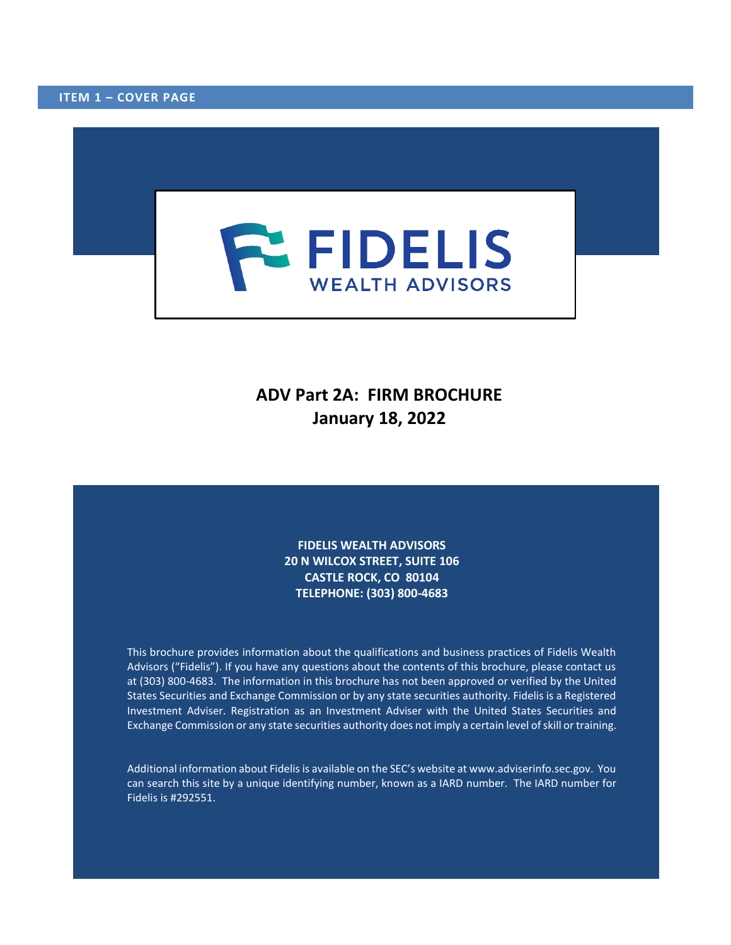<span id="page-0-0"></span>

# **ADV Part 2A: FIRM BROCHURE January 18, 2022**

**FIDELIS WEALTH ADVISORS 20 N WILCOX STREET, SUITE 106 CASTLE ROCK, CO 80104 TELEPHONE: (303) 800-4683**

This brochure provides information about the qualifications and business practices of Fidelis Wealth Advisors ("Fidelis"). If you have any questions about the contents of this brochure, please contact us at (303) 800-4683. The information in this brochure has not been approved or verified by the United States Securities and Exchange Commission or by any state securities authority. Fidelis is a Registered Investment Adviser. Registration as an Investment Adviser with the United States Securities and Exchange Commission or any state securities authority does not imply a certain level of skill or training.

Additional information about Fidelis is available on the SEC's website at www.adviserinfo.sec.gov. You can search this site by a unique identifying number, known as a IARD number. The IARD number for Fidelis is #292551.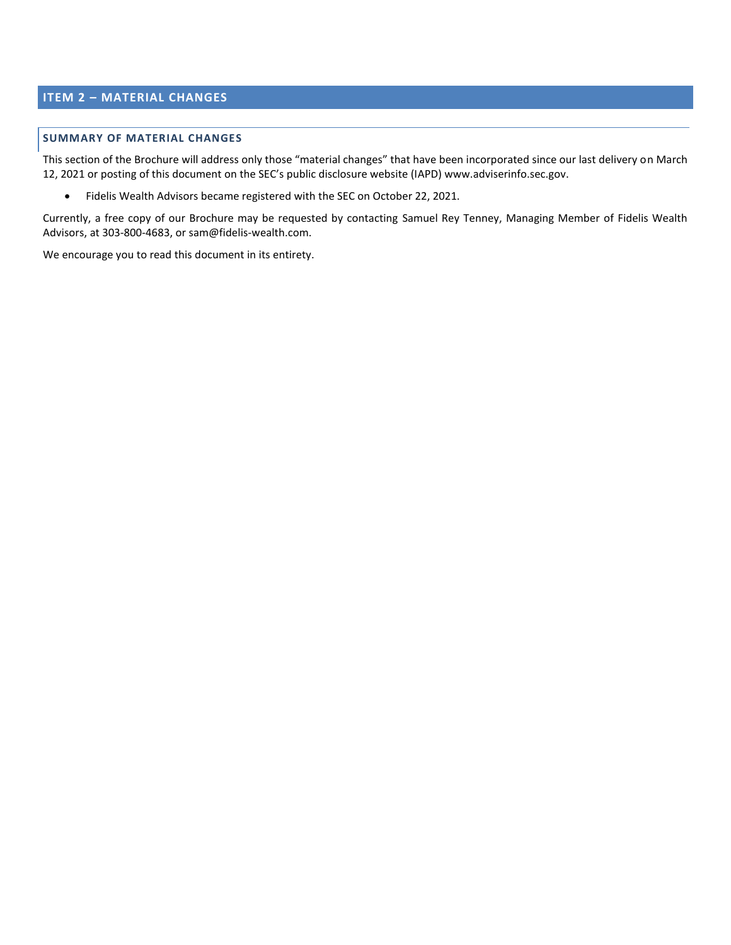# <span id="page-1-0"></span>**ITEM 2 – MATERIAL CHANGES**

# **SUMMARY OF MATERIAL CHANGES**

This section of the Brochure will address only those "material changes" that have been incorporated since our last delivery on March 12, 2021 or posting of this document on the SEC's public disclosure website (IAPD[\) www.adviserinfo.sec.gov.](http://www.adviserinfo.sec.gov/)

• Fidelis Wealth Advisors became registered with the SEC on October 22, 2021.

Currently, a free copy of our Brochure may be requested by contacting Samuel Rey Tenney, Managing Member of Fidelis Wealth Advisors, at 303-800-4683, or sam@fidelis-wealth.com.

We encourage you to read this document in its entirety.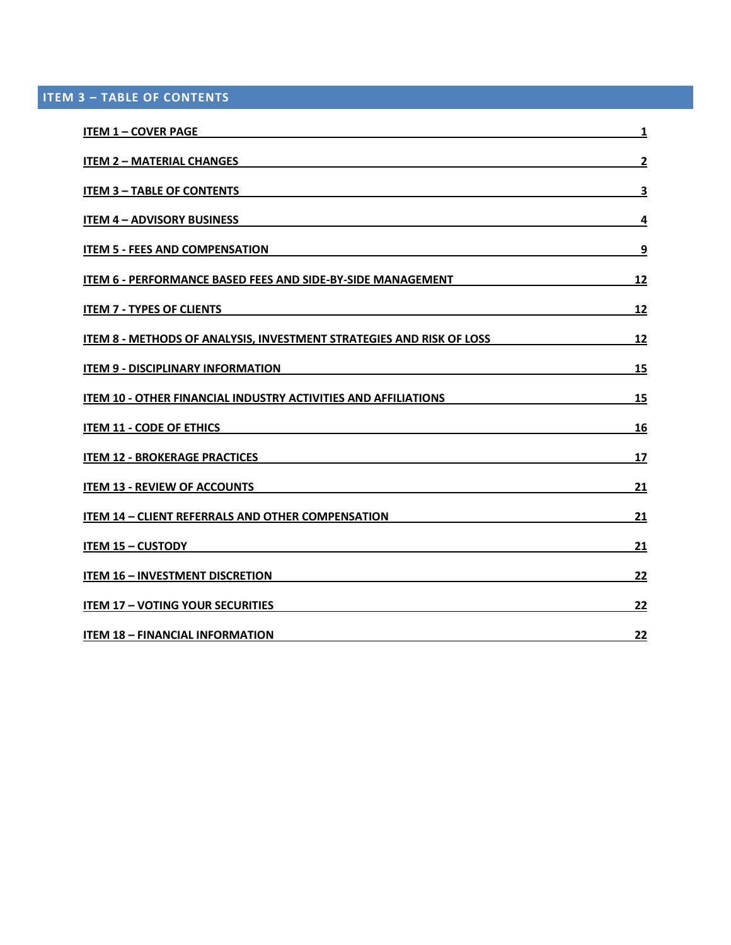<span id="page-2-0"></span>**ITEM 3 – TABLE OF CONTENTS**

| <b>ITEM 1 - COVER PAGE</b>                                                                                                                           | 1                       |
|------------------------------------------------------------------------------------------------------------------------------------------------------|-------------------------|
| <b>ITEM 2 - MATERIAL CHANGES</b><br>and the control of the control of the control of the control of the control of the control of the control of the | $\overline{\mathbf{2}}$ |
| <b>ITEM 3 - TABLE OF CONTENTS</b>                                                                                                                    | 3                       |
| <b>ITEM 4 - ADVISORY BUSINESS</b>                                                                                                                    | 4                       |
| <b>ITEM 5 - FEES AND COMPENSATION</b>                                                                                                                | 9                       |
| <b>ITEM 6 - PERFORMANCE BASED FEES AND SIDE-BY-SIDE MANAGEMENT</b>                                                                                   | <u>12</u>               |
| <b>ITEM 7 - TYPES OF CLIENTS</b>                                                                                                                     | 12                      |
| ITEM 8 - METHODS OF ANALYSIS, INVESTMENT STRATEGIES AND RISK OF LOSS                                                                                 | 12                      |
| <b>ITEM 9 - DISCIPLINARY INFORMATION</b>                                                                                                             | 15                      |
| ITEM 10 - OTHER FINANCIAL INDUSTRY ACTIVITIES AND AFFILIATIONS<br><b>ITEM 11 - CODE OF ETHICS</b>                                                    | 15                      |
|                                                                                                                                                      | 16                      |
| <b>ITEM 12 - BROKERAGE PRACTICES</b>                                                                                                                 | 17                      |
| <b>ITEM 13 - REVIEW OF ACCOUNTS</b>                                                                                                                  | 21                      |
| <b>ITEM 14 - CLIENT REFERRALS AND OTHER COMPENSATION</b>                                                                                             | 21                      |
| <b>ITEM 15 - CUSTODY</b>                                                                                                                             | 21                      |
| <b>ITEM 16 - INVESTMENT DISCRETION</b>                                                                                                               | 22                      |
| <b>ITEM 17 - VOTING YOUR SECURITIES</b>                                                                                                              | 22                      |
| <b>ITEM 18 - FINANCIAL INFORMATION</b>                                                                                                               | 22                      |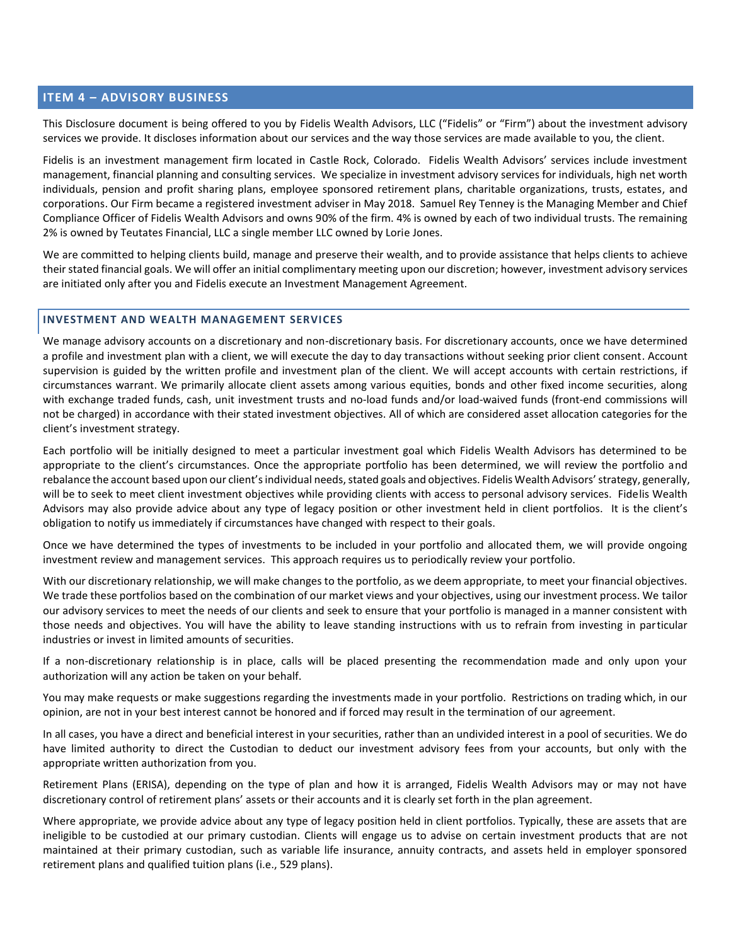## <span id="page-3-0"></span>**ITEM 4 – ADVISORY BUSINESS**

This Disclosure document is being offered to you by Fidelis Wealth Advisors, LLC ("Fidelis" or "Firm") about the investment advisory services we provide. It discloses information about our services and the way those services are made available to you, the client.

Fidelis is an investment management firm located in Castle Rock, Colorado. Fidelis Wealth Advisors' services include investment management, financial planning and consulting services. We specialize in investment advisory services for individuals, high net worth individuals, pension and profit sharing plans, employee sponsored retirement plans, charitable organizations, trusts, estates, and corporations. Our Firm became a registered investment adviser in May 2018. Samuel Rey Tenney is the Managing Member and Chief Compliance Officer of Fidelis Wealth Advisors and owns 90% of the firm. 4% is owned by each of two individual trusts. The remaining 2% is owned by Teutates Financial, LLC a single member LLC owned by Lorie Jones.

We are committed to helping clients build, manage and preserve their wealth, and to provide assistance that helps clients to achieve their stated financial goals. We will offer an initial complimentary meeting upon our discretion; however, investment advisory services are initiated only after you and Fidelis execute an Investment Management Agreement.

## **INVESTMENT AND WEALTH MANAGEMENT SERVICES**

We manage advisory accounts on a discretionary and non-discretionary basis. For discretionary accounts, once we have determined a profile and investment plan with a client, we will execute the day to day transactions without seeking prior client consent. Account supervision is guided by the written profile and investment plan of the client. We will accept accounts with certain restrictions, if circumstances warrant. We primarily allocate client assets among various equities, bonds and other fixed income securities, along with exchange traded funds, cash, unit investment trusts and no-load funds and/or load-waived funds (front-end commissions will not be charged) in accordance with their stated investment objectives. All of which are considered asset allocation categories for the client's investment strategy.

Each portfolio will be initially designed to meet a particular investment goal which Fidelis Wealth Advisors has determined to be appropriate to the client's circumstances. Once the appropriate portfolio has been determined, we will review the portfolio and rebalance the account based upon our client's individual needs, stated goals and objectives. Fidelis Wealth Advisors' strategy, generally, will be to seek to meet client investment objectives while providing clients with access to personal advisory services. Fidelis Wealth Advisors may also provide advice about any type of legacy position or other investment held in client portfolios. It is the client's obligation to notify us immediately if circumstances have changed with respect to their goals.

Once we have determined the types of investments to be included in your portfolio and allocated them, we will provide ongoing investment review and management services. This approach requires us to periodically review your portfolio.

With our discretionary relationship, we will make changes to the portfolio, as we deem appropriate, to meet your financial objectives. We trade these portfolios based on the combination of our market views and your objectives, using our investment process. We tailor our advisory services to meet the needs of our clients and seek to ensure that your portfolio is managed in a manner consistent with those needs and objectives. You will have the ability to leave standing instructions with us to refrain from investing in particular industries or invest in limited amounts of securities.

If a non-discretionary relationship is in place, calls will be placed presenting the recommendation made and only upon your authorization will any action be taken on your behalf.

You may make requests or make suggestions regarding the investments made in your portfolio. Restrictions on trading which, in our opinion, are not in your best interest cannot be honored and if forced may result in the termination of our agreement.

In all cases, you have a direct and beneficial interest in your securities, rather than an undivided interest in a pool of securities. We do have limited authority to direct the Custodian to deduct our investment advisory fees from your accounts, but only with the appropriate written authorization from you.

Retirement Plans (ERISA), depending on the type of plan and how it is arranged, Fidelis Wealth Advisors may or may not have discretionary control of retirement plans' assets or their accounts and it is clearly set forth in the plan agreement.

Where appropriate, we provide advice about any type of legacy position held in client portfolios. Typically, these are assets that are ineligible to be custodied at our primary custodian. Clients will engage us to advise on certain investment products that are not maintained at their primary custodian, such as variable life insurance, annuity contracts, and assets held in employer sponsored retirement plans and qualified tuition plans (i.e., 529 plans).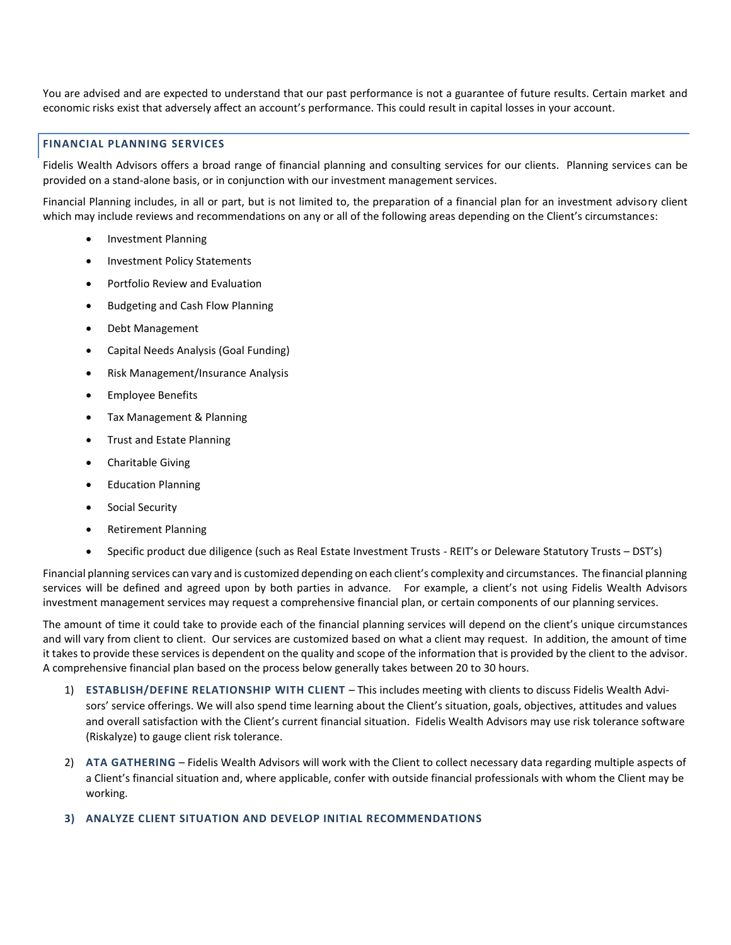You are advised and are expected to understand that our past performance is not a guarantee of future results. Certain market and economic risks exist that adversely affect an account's performance. This could result in capital losses in your account.

# **FINANCIAL PLANNING SERVICES**

Fidelis Wealth Advisors offers a broad range of financial planning and consulting services for our clients. Planning services can be provided on a stand-alone basis, or in conjunction with our investment management services.

Financial Planning includes, in all or part, but is not limited to, the preparation of a financial plan for an investment advisory client which may include reviews and recommendations on any or all of the following areas depending on the Client's circumstances:

- Investment Planning
- Investment Policy Statements
- Portfolio Review and Evaluation
- Budgeting and Cash Flow Planning
- Debt Management
- Capital Needs Analysis (Goal Funding)
- Risk Management/Insurance Analysis
- Employee Benefits
- Tax Management & Planning
- Trust and Estate Planning
- Charitable Giving
- **Education Planning**
- Social Security
- Retirement Planning
- Specific product due diligence (such as Real Estate Investment Trusts REIT's or Deleware Statutory Trusts DST's)

Financial planning services can vary and is customized depending on each client's complexity and circumstances. The financial planning services will be defined and agreed upon by both parties in advance. For example, a client's not using Fidelis Wealth Advisors investment management services may request a comprehensive financial plan, or certain components of our planning services.

The amount of time it could take to provide each of the financial planning services will depend on the client's unique circumstances and will vary from client to client. Our services are customized based on what a client may request. In addition, the amount of time it takes to provide these services is dependent on the quality and scope of the information that is provided by the client to the advisor. A comprehensive financial plan based on the process below generally takes between 20 to 30 hours.

- 1) **ESTABLISH/DEFINE RELATIONSHIP WITH CLIENT** This includes meeting with clients to discuss Fidelis Wealth Advisors' service offerings. We will also spend time learning about the Client's situation, goals, objectives, attitudes and values and overall satisfaction with the Client's current financial situation. Fidelis Wealth Advisors may use risk tolerance software (Riskalyze) to gauge client risk tolerance.
- 2) **ATA GATHERING** Fidelis Wealth Advisors will work with the Client to collect necessary data regarding multiple aspects of a Client's financial situation and, where applicable, confer with outside financial professionals with whom the Client may be working.

## **3) ANALYZE CLIENT SITUATION AND DEVELOP INITIAL RECOMMENDATIONS**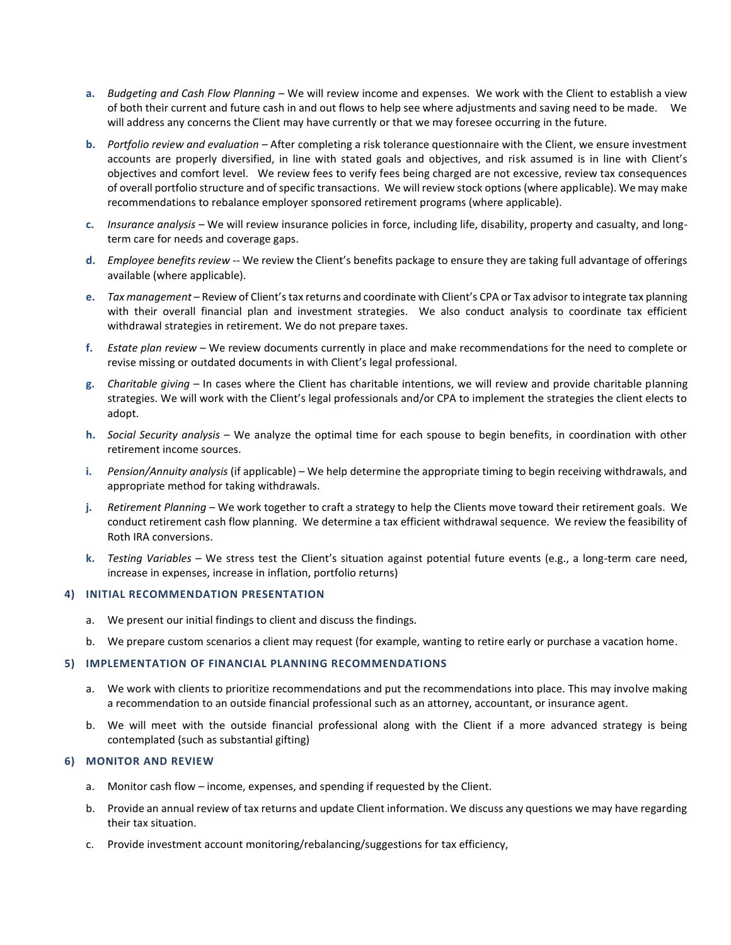- **a.** *Budgeting and Cash Flow Planning* We will review income and expenses. We work with the Client to establish a view of both their current and future cash in and out flows to help see where adjustments and saving need to be made. We will address any concerns the Client may have currently or that we may foresee occurring in the future.
- **b.** *Portfolio review and evaluation* After completing a risk tolerance questionnaire with the Client, we ensure investment accounts are properly diversified, in line with stated goals and objectives, and risk assumed is in line with Client's objectives and comfort level. We review fees to verify fees being charged are not excessive, review tax consequences of overall portfolio structure and of specific transactions. We will review stock options (where applicable). We may make recommendations to rebalance employer sponsored retirement programs (where applicable).
- **c.** *Insurance analysis* We will review insurance policies in force, including life, disability, property and casualty, and longterm care for needs and coverage gaps.
- **d.** *Employee benefits review* -- We review the Client's benefits package to ensure they are taking full advantage of offerings available (where applicable).
- **e.** *Tax management* Review of Client's tax returns and coordinate with Client's CPA or Tax advisor to integrate tax planning with their overall financial plan and investment strategies. We also conduct analysis to coordinate tax efficient withdrawal strategies in retirement. We do not prepare taxes.
- **f.** *Estate plan review* We review documents currently in place and make recommendations for the need to complete or revise missing or outdated documents in with Client's legal professional.
- **g.** *Charitable giving* In cases where the Client has charitable intentions, we will review and provide charitable planning strategies. We will work with the Client's legal professionals and/or CPA to implement the strategies the client elects to adopt.
- **h.** *Social Security analysis* We analyze the optimal time for each spouse to begin benefits, in coordination with other retirement income sources.
- **i.** *Pension/Annuity analysis* (if applicable) We help determine the appropriate timing to begin receiving withdrawals, and appropriate method for taking withdrawals.
- **j.** *Retirement Planning* We work together to craft a strategy to help the Clients move toward their retirement goals. We conduct retirement cash flow planning. We determine a tax efficient withdrawal sequence. We review the feasibility of Roth IRA conversions.
- **k.** *Testing Variables* We stress test the Client's situation against potential future events (e.g., a long-term care need, increase in expenses, increase in inflation, portfolio returns)

## **4) INITIAL RECOMMENDATION PRESENTATION**

- a. We present our initial findings to client and discuss the findings.
- b. We prepare custom scenarios a client may request (for example, wanting to retire early or purchase a vacation home.

## **5) IMPLEMENTATION OF FINANCIAL PLANNING RECOMMENDATIONS**

- a. We work with clients to prioritize recommendations and put the recommendations into place. This may involve making a recommendation to an outside financial professional such as an attorney, accountant, or insurance agent.
- b. We will meet with the outside financial professional along with the Client if a more advanced strategy is being contemplated (such as substantial gifting)

# **6) MONITOR AND REVIEW**

- a. Monitor cash flow income, expenses, and spending if requested by the Client.
- b. Provide an annual review of tax returns and update Client information. We discuss any questions we may have regarding their tax situation.
- c. Provide investment account monitoring/rebalancing/suggestions for tax efficiency,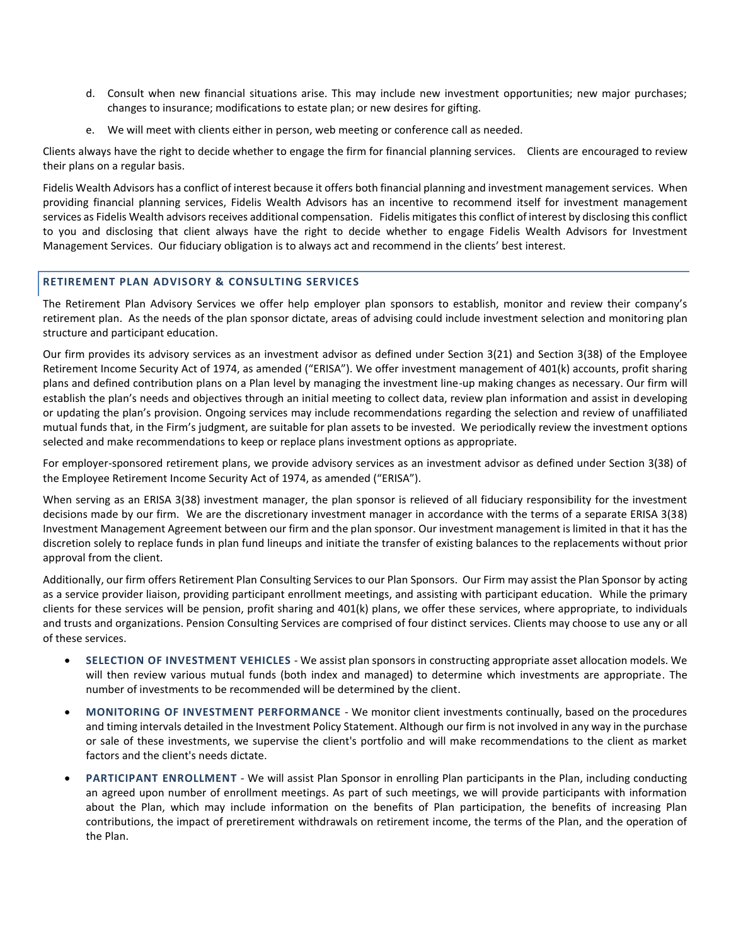- d. Consult when new financial situations arise. This may include new investment opportunities; new major purchases; changes to insurance; modifications to estate plan; or new desires for gifting.
- e. We will meet with clients either in person, web meeting or conference call as needed.

Clients always have the right to decide whether to engage the firm for financial planning services. Clients are encouraged to review their plans on a regular basis.

Fidelis Wealth Advisors has a conflict of interest because it offers both financial planning and investment management services. When providing financial planning services, Fidelis Wealth Advisors has an incentive to recommend itself for investment management services as Fidelis Wealth advisors receives additional compensation. Fidelis mitigates this conflict of interest by disclosing this conflict to you and disclosing that client always have the right to decide whether to engage Fidelis Wealth Advisors for Investment Management Services. Our fiduciary obligation is to always act and recommend in the clients' best interest.

## **RETIREMENT PLAN ADVISORY & CONSULTING SERVICES**

The Retirement Plan Advisory Services we offer help employer plan sponsors to establish, monitor and review their company's retirement plan. As the needs of the plan sponsor dictate, areas of advising could include investment selection and monitoring plan structure and participant education.

Our firm provides its advisory services as an investment advisor as defined under Section 3(21) and Section 3(38) of the Employee Retirement Income Security Act of 1974, as amended ("ERISA"). We offer investment management of 401(k) accounts, profit sharing plans and defined contribution plans on a Plan level by managing the investment line-up making changes as necessary. Our firm will establish the plan's needs and objectives through an initial meeting to collect data, review plan information and assist in developing or updating the plan's provision. Ongoing services may include recommendations regarding the selection and review of unaffiliated mutual funds that, in the Firm's judgment, are suitable for plan assets to be invested. We periodically review the investment options selected and make recommendations to keep or replace plans investment options as appropriate.

For employer-sponsored retirement plans, we provide advisory services as an investment advisor as defined under Section 3(38) of the Employee Retirement Income Security Act of 1974, as amended ("ERISA").

When serving as an ERISA 3(38) investment manager, the plan sponsor is relieved of all fiduciary responsibility for the investment decisions made by our firm. We are the discretionary investment manager in accordance with the terms of a separate ERISA 3(38) Investment Management Agreement between our firm and the plan sponsor. Our investment management is limited in that it has the discretion solely to replace funds in plan fund lineups and initiate the transfer of existing balances to the replacements without prior approval from the client.

Additionally, our firm offers Retirement Plan Consulting Services to our Plan Sponsors. Our Firm may assist the Plan Sponsor by acting as a service provider liaison, providing participant enrollment meetings, and assisting with participant education. While the primary clients for these services will be pension, profit sharing and 401(k) plans, we offer these services, where appropriate, to individuals and trusts and organizations. Pension Consulting Services are comprised of four distinct services. Clients may choose to use any or all of these services.

- **SELECTION OF INVESTMENT VEHICLES** We assist plan sponsors in constructing appropriate asset allocation models. We will then review various mutual funds (both index and managed) to determine which investments are appropriate. The number of investments to be recommended will be determined by the client.
- **MONITORING OF INVESTMENT PERFORMANCE** We monitor client investments continually, based on the procedures and timing intervals detailed in the Investment Policy Statement. Although our firm is not involved in any way in the purchase or sale of these investments, we supervise the client's portfolio and will make recommendations to the client as market factors and the client's needs dictate.
- **PARTICIPANT ENROLLMENT** We will assist Plan Sponsor in enrolling Plan participants in the Plan, including conducting an agreed upon number of enrollment meetings. As part of such meetings, we will provide participants with information about the Plan, which may include information on the benefits of Plan participation, the benefits of increasing Plan contributions, the impact of preretirement withdrawals on retirement income, the terms of the Plan, and the operation of the Plan.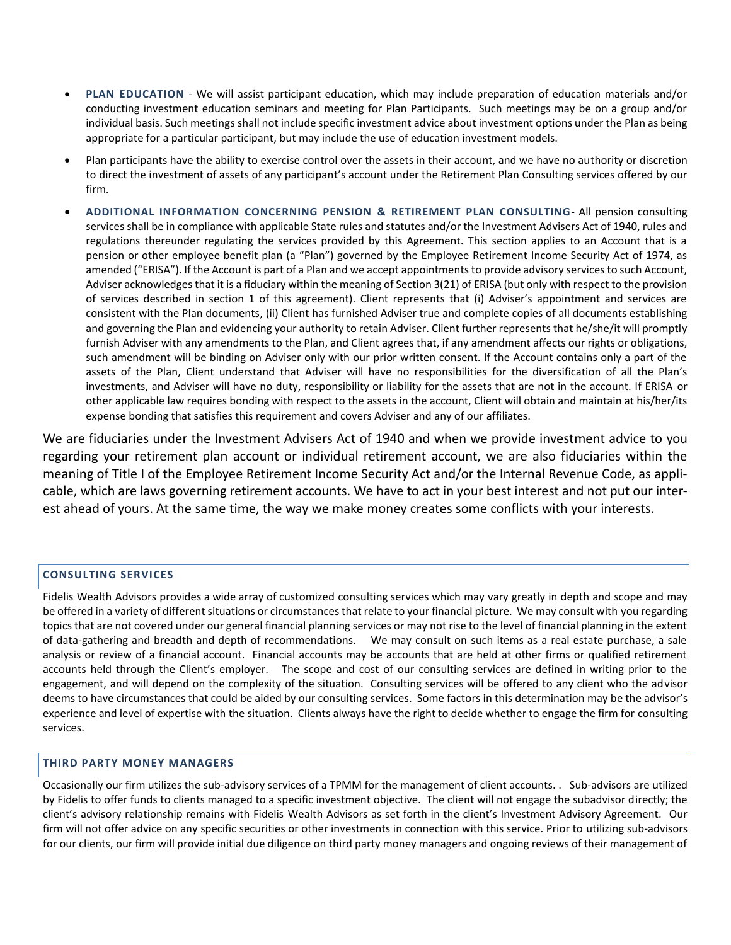- **PLAN EDUCATION** We will assist participant education, which may include preparation of education materials and/or conducting investment education seminars and meeting for Plan Participants. Such meetings may be on a group and/or individual basis. Such meetings shall not include specific investment advice about investment options under the Plan as being appropriate for a particular participant, but may include the use of education investment models.
- Plan participants have the ability to exercise control over the assets in their account, and we have no authority or discretion to direct the investment of assets of any participant's account under the Retirement Plan Consulting services offered by our firm.
- **ADDITIONAL INFORMATION CONCERNING PENSION & RETIREMENT PLAN CONSULTING** All pension consulting services shall be in compliance with applicable State rules and statutes and/or the Investment Advisers Act of 1940, rules and regulations thereunder regulating the services provided by this Agreement. This section applies to an Account that is a pension or other employee benefit plan (a "Plan") governed by the Employee Retirement Income Security Act of 1974, as amended ("ERISA"). If the Account is part of a Plan and we accept appointments to provide advisory services to such Account, Adviser acknowledges that it is a fiduciary within the meaning of Section 3(21) of ERISA (but only with respect to the provision of services described in section 1 of this agreement). Client represents that (i) Adviser's appointment and services are consistent with the Plan documents, (ii) Client has furnished Adviser true and complete copies of all documents establishing and governing the Plan and evidencing your authority to retain Adviser. Client further represents that he/she/it will promptly furnish Adviser with any amendments to the Plan, and Client agrees that, if any amendment affects our rights or obligations, such amendment will be binding on Adviser only with our prior written consent. If the Account contains only a part of the assets of the Plan, Client understand that Adviser will have no responsibilities for the diversification of all the Plan's investments, and Adviser will have no duty, responsibility or liability for the assets that are not in the account. If ERISA or other applicable law requires bonding with respect to the assets in the account, Client will obtain and maintain at his/her/its expense bonding that satisfies this requirement and covers Adviser and any of our affiliates.

We are fiduciaries under the Investment Advisers Act of 1940 and when we provide investment advice to you regarding your retirement plan account or individual retirement account, we are also fiduciaries within the meaning of Title I of the Employee Retirement Income Security Act and/or the Internal Revenue Code, as appli‐ cable, which are laws governing retirement accounts. We have to act in your best interest and not put our inter‐ est ahead of yours. At the same time, the way we make money creates some conflicts with your interests.

# **CONSULTING SERVICES**

Fidelis Wealth Advisors provides a wide array of customized consulting services which may vary greatly in depth and scope and may be offered in a variety of different situations or circumstances that relate to your financial picture. We may consult with you regarding topics that are not covered under our general financial planning services or may not rise to the level of financial planning in the extent of data-gathering and breadth and depth of recommendations. We may consult on such items as a real estate purchase, a sale analysis or review of a financial account. Financial accounts may be accounts that are held at other firms or qualified retirement accounts held through the Client's employer. The scope and cost of our consulting services are defined in writing prior to the engagement, and will depend on the complexity of the situation. Consulting services will be offered to any client who the advisor deems to have circumstances that could be aided by our consulting services. Some factors in this determination may be the advisor's experience and level of expertise with the situation. Clients always have the right to decide whether to engage the firm for consulting services.

# **THIRD PARTY MONEY MANAGERS**

Occasionally our firm utilizes the sub-advisory services of a TPMM for the management of client accounts. . Sub-advisors are utilized by Fidelis to offer funds to clients managed to a specific investment objective. The client will not engage the subadvisor directly; the client's advisory relationship remains with Fidelis Wealth Advisors as set forth in the client's Investment Advisory Agreement. Our firm will not offer advice on any specific securities or other investments in connection with this service. Prior to utilizing sub-advisors for our clients, our firm will provide initial due diligence on third party money managers and ongoing reviews of their management of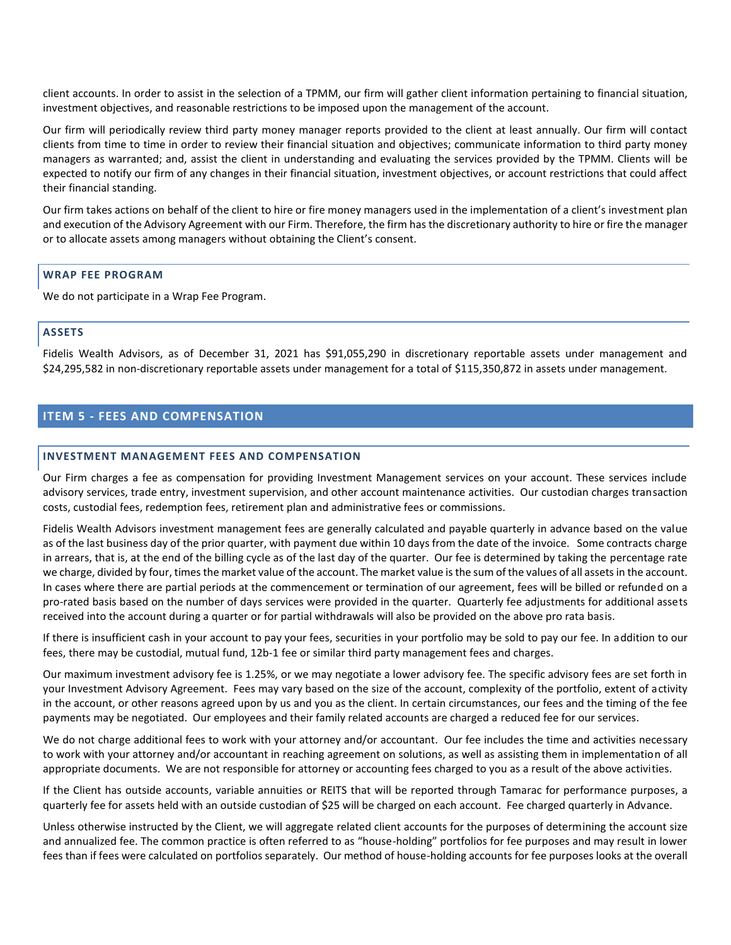client accounts. In order to assist in the selection of a TPMM, our firm will gather client information pertaining to financial situation, investment objectives, and reasonable restrictions to be imposed upon the management of the account.

Our firm will periodically review third party money manager reports provided to the client at least annually. Our firm will contact clients from time to time in order to review their financial situation and objectives; communicate information to third party money managers as warranted; and, assist the client in understanding and evaluating the services provided by the TPMM. Clients will be expected to notify our firm of any changes in their financial situation, investment objectives, or account restrictions that could affect their financial standing.

Our firm takes actions on behalf of the client to hire or fire money managers used in the implementation of a client's investment plan and execution of the Advisory Agreement with our Firm. Therefore, the firm has the discretionary authority to hire or fire the manager or to allocate assets among managers without obtaining the Client's consent.

## **WRAP FEE PROGRAM**

We do not participate in a Wrap Fee Program.

# **ASSETS**

Fidelis Wealth Advisors, as of December 31, 2021 has \$91,055,290 in discretionary reportable assets under management and \$24,295,582 in non‐discretionary reportable assets under management for a total of \$115,350,872 in assets under management.

# <span id="page-8-0"></span>**ITEM 5 - FEES AND COMPENSATION**

## **INVESTMENT MANAGEMENT FEES AND COMPENSATION**

Our Firm charges a fee as compensation for providing Investment Management services on your account. These services include advisory services, trade entry, investment supervision, and other account maintenance activities. Our custodian charges transaction costs, custodial fees, redemption fees, retirement plan and administrative fees or commissions.

Fidelis Wealth Advisors investment management fees are generally calculated and payable quarterly in advance based on the value as of the last business day of the prior quarter, with payment due within 10 days from the date of the invoice. Some contracts charge in arrears, that is, at the end of the billing cycle as of the last day of the quarter. Our fee is determined by taking the percentage rate we charge, divided by four, times the market value of the account. The market value is the sum of the values of all assets in the account. In cases where there are partial periods at the commencement or termination of our agreement, fees will be billed or refunded on a pro-rated basis based on the number of days services were provided in the quarter. Quarterly fee adjustments for additional assets received into the account during a quarter or for partial withdrawals will also be provided on the above pro rata basis.

If there is insufficient cash in your account to pay your fees, securities in your portfolio may be sold to pay our fee. In addition to our fees, there may be custodial, mutual fund, 12b-1 fee or similar third party management fees and charges.

Our maximum investment advisory fee is 1.25%, or we may negotiate a lower advisory fee. The specific advisory fees are set forth in your Investment Advisory Agreement. Fees may vary based on the size of the account, complexity of the portfolio, extent of activity in the account, or other reasons agreed upon by us and you as the client. In certain circumstances, our fees and the timing of the fee payments may be negotiated. Our employees and their family related accounts are charged a reduced fee for our services.

We do not charge additional fees to work with your attorney and/or accountant. Our fee includes the time and activities necessary to work with your attorney and/or accountant in reaching agreement on solutions, as well as assisting them in implementation of all appropriate documents. We are not responsible for attorney or accounting fees charged to you as a result of the above activities.

If the Client has outside accounts, variable annuities or REITS that will be reported through Tamarac for performance purposes, a quarterly fee for assets held with an outside custodian of \$25 will be charged on each account. Fee charged quarterly in Advance.

Unless otherwise instructed by the Client, we will aggregate related client accounts for the purposes of determining the account size and annualized fee. The common practice is often referred to as "house-holding" portfolios for fee purposes and may result in lower fees than if fees were calculated on portfolios separately. Our method of house-holding accounts for fee purposes looks at the overall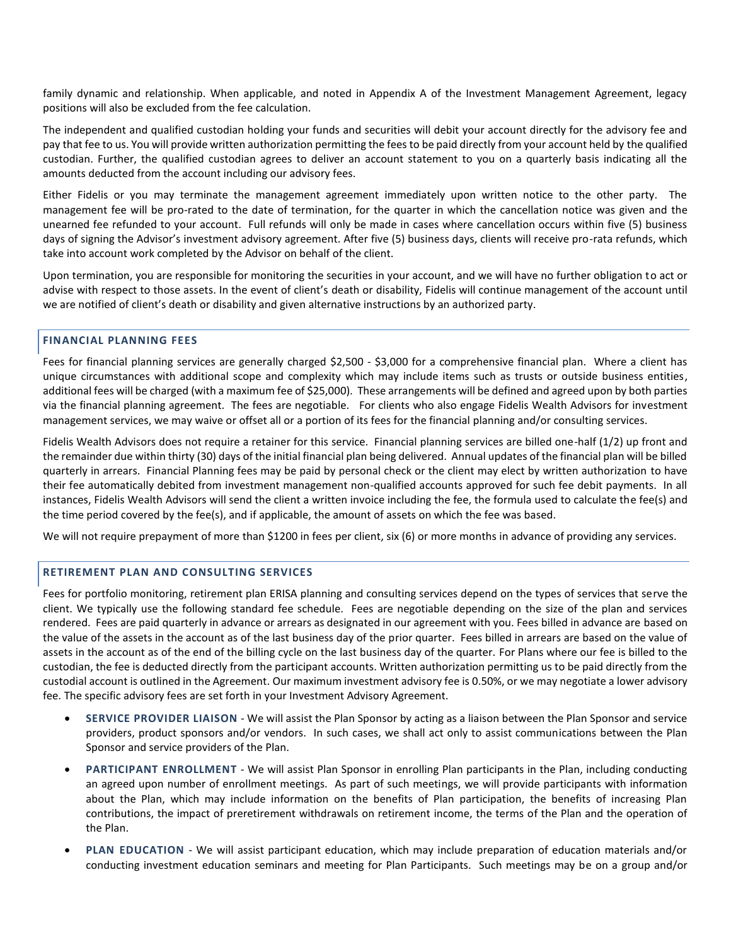family dynamic and relationship. When applicable, and noted in Appendix A of the Investment Management Agreement, legacy positions will also be excluded from the fee calculation.

The independent and qualified custodian holding your funds and securities will debit your account directly for the advisory fee and pay that fee to us. You will provide written authorization permitting the fees to be paid directly from your account held by the qualified custodian. Further, the qualified custodian agrees to deliver an account statement to you on a quarterly basis indicating all the amounts deducted from the account including our advisory fees.

Either Fidelis or you may terminate the management agreement immediately upon written notice to the other party. The management fee will be pro-rated to the date of termination, for the quarter in which the cancellation notice was given and the unearned fee refunded to your account. Full refunds will only be made in cases where cancellation occurs within five (5) business days of signing the Advisor's investment advisory agreement. After five (5) business days, clients will receive pro-rata refunds, which take into account work completed by the Advisor on behalf of the client.

Upon termination, you are responsible for monitoring the securities in your account, and we will have no further obligation to act or advise with respect to those assets. In the event of client's death or disability, Fidelis will continue management of the account until we are notified of client's death or disability and given alternative instructions by an authorized party.

# **FINANCIAL PLANNING FEES**

Fees for financial planning services are generally charged \$2,500 - \$3,000 for a comprehensive financial plan. Where a client has unique circumstances with additional scope and complexity which may include items such as trusts or outside business entities, additional fees will be charged (with a maximum fee of \$25,000). These arrangements will be defined and agreed upon by both parties via the financial planning agreement. The fees are negotiable. For clients who also engage Fidelis Wealth Advisors for investment management services, we may waive or offset all or a portion of its fees for the financial planning and/or consulting services.

Fidelis Wealth Advisors does not require a retainer for this service. Financial planning services are billed one-half (1/2) up front and the remainder due within thirty (30) days of the initial financial plan being delivered. Annual updates of the financial plan will be billed quarterly in arrears. Financial Planning fees may be paid by personal check or the client may elect by written authorization to have their fee automatically debited from investment management non-qualified accounts approved for such fee debit payments. In all instances, Fidelis Wealth Advisors will send the client a written invoice including the fee, the formula used to calculate the fee(s) and the time period covered by the fee(s), and if applicable, the amount of assets on which the fee was based.

We will not require prepayment of more than \$1200 in fees per client, six (6) or more months in advance of providing any services.

## **RETIREMENT PLAN AND CONSULTING SERVICES**

Fees for portfolio monitoring, retirement plan ERISA planning and consulting services depend on the types of services that serve the client. We typically use the following standard fee schedule. Fees are negotiable depending on the size of the plan and services rendered. Fees are paid quarterly in advance or arrears as designated in our agreement with you. Fees billed in advance are based on the value of the assets in the account as of the last business day of the prior quarter. Fees billed in arrears are based on the value of assets in the account as of the end of the billing cycle on the last business day of the quarter. For Plans where our fee is billed to the custodian, the fee is deducted directly from the participant accounts. Written authorization permitting us to be paid directly from the custodial account is outlined in the Agreement. Our maximum investment advisory fee is 0.50%, or we may negotiate a lower advisory fee. The specific advisory fees are set forth in your Investment Advisory Agreement.

- **SERVICE PROVIDER LIAISON** We will assist the Plan Sponsor by acting as a liaison between the Plan Sponsor and service providers, product sponsors and/or vendors. In such cases, we shall act only to assist communications between the Plan Sponsor and service providers of the Plan.
- **PARTICIPANT ENROLLMENT** We will assist Plan Sponsor in enrolling Plan participants in the Plan, including conducting an agreed upon number of enrollment meetings. As part of such meetings, we will provide participants with information about the Plan, which may include information on the benefits of Plan participation, the benefits of increasing Plan contributions, the impact of preretirement withdrawals on retirement income, the terms of the Plan and the operation of the Plan.
- **PLAN EDUCATION** We will assist participant education, which may include preparation of education materials and/or conducting investment education seminars and meeting for Plan Participants. Such meetings may be on a group and/or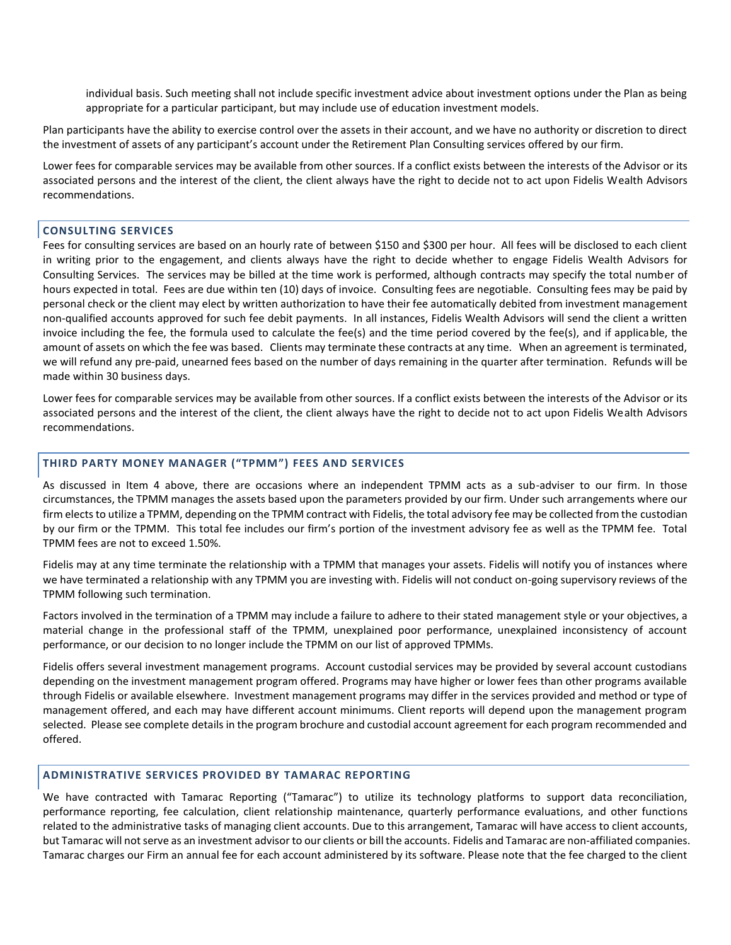individual basis. Such meeting shall not include specific investment advice about investment options under the Plan as being appropriate for a particular participant, but may include use of education investment models.

Plan participants have the ability to exercise control over the assets in their account, and we have no authority or discretion to direct the investment of assets of any participant's account under the Retirement Plan Consulting services offered by our firm.

Lower fees for comparable services may be available from other sources. If a conflict exists between the interests of the Advisor or its associated persons and the interest of the client, the client always have the right to decide not to act upon Fidelis Wealth Advisors recommendations.

## **CONSULTING SERVICES**

Fees for consulting services are based on an hourly rate of between \$150 and \$300 per hour. All fees will be disclosed to each client in writing prior to the engagement, and clients always have the right to decide whether to engage Fidelis Wealth Advisors for Consulting Services. The services may be billed at the time work is performed, although contracts may specify the total number of hours expected in total. Fees are due within ten (10) days of invoice. Consulting fees are negotiable. Consulting fees may be paid by personal check or the client may elect by written authorization to have their fee automatically debited from investment management non-qualified accounts approved for such fee debit payments. In all instances, Fidelis Wealth Advisors will send the client a written invoice including the fee, the formula used to calculate the fee(s) and the time period covered by the fee(s), and if applicable, the amount of assets on which the fee was based. Clients may terminate these contracts at any time. When an agreement is terminated, we will refund any pre‐paid, unearned fees based on the number of days remaining in the quarter after termination. Refunds will be made within 30 business days.

Lower fees for comparable services may be available from other sources. If a conflict exists between the interests of the Advisor or its associated persons and the interest of the client, the client always have the right to decide not to act upon Fidelis Wealth Advisors recommendations.

## **THIRD PARTY MONEY MANAGER ("TPMM") FEES AND SERVICES**

As discussed in Item 4 above, there are occasions where an independent TPMM acts as a sub-adviser to our firm. In those circumstances, the TPMM manages the assets based upon the parameters provided by our firm. Under such arrangements where our firm elects to utilize a TPMM, depending on the TPMM contract with Fidelis, the total advisory fee may be collected from the custodian by our firm or the TPMM. This total fee includes our firm's portion of the investment advisory fee as well as the TPMM fee. Total TPMM fees are not to exceed 1.50%.

Fidelis may at any time terminate the relationship with a TPMM that manages your assets. Fidelis will notify you of instances where we have terminated a relationship with any TPMM you are investing with. Fidelis will not conduct on-going supervisory reviews of the TPMM following such termination.

Factors involved in the termination of a TPMM may include a failure to adhere to their stated management style or your objectives, a material change in the professional staff of the TPMM, unexplained poor performance, unexplained inconsistency of account performance, or our decision to no longer include the TPMM on our list of approved TPMMs.

Fidelis offers several investment management programs. Account custodial services may be provided by several account custodians depending on the investment management program offered. Programs may have higher or lower fees than other programs available through Fidelis or available elsewhere. Investment management programs may differ in the services provided and method or type of management offered, and each may have different account minimums. Client reports will depend upon the management program selected. Please see complete details in the program brochure and custodial account agreement for each program recommended and offered.

## **ADMINISTRATIVE SERVICES PROVIDED BY TAMARAC REPORTING**

We have contracted with Tamarac Reporting ("Tamarac") to utilize its technology platforms to support data reconciliation, performance reporting, fee calculation, client relationship maintenance, quarterly performance evaluations, and other functions related to the administrative tasks of managing client accounts. Due to this arrangement, Tamarac will have access to client accounts, but Tamarac will not serve as an investment advisor to our clients or bill the accounts. Fidelis and Tamarac are non-affiliated companies. Tamarac charges our Firm an annual fee for each account administered by its software. Please note that the fee charged to the client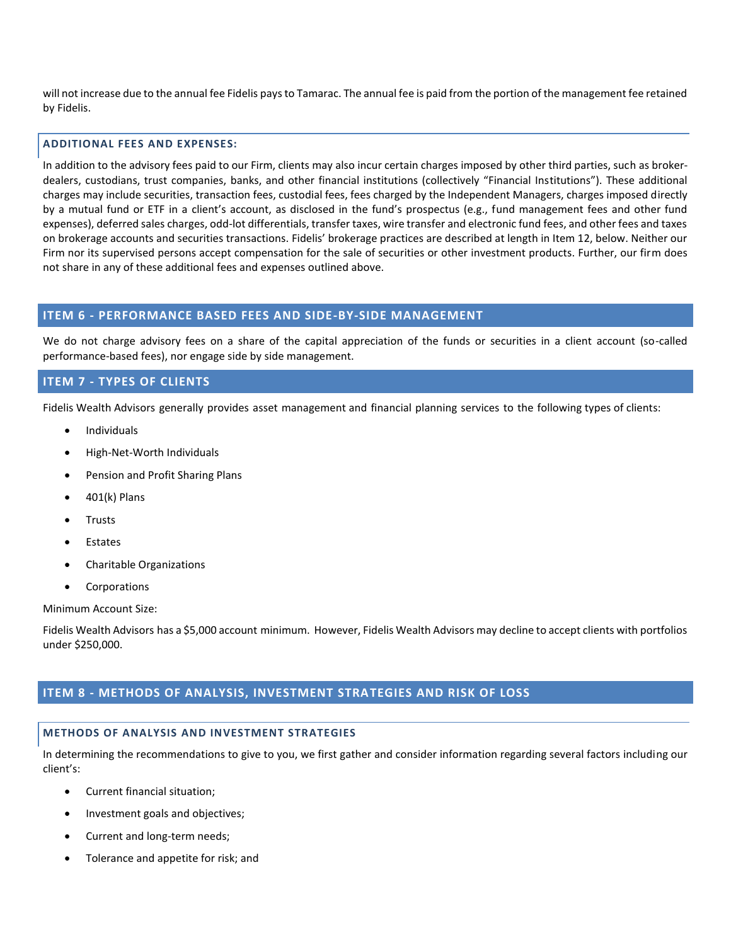will not increase due to the annual fee Fidelis pays to Tamarac. The annual fee is paid from the portion of the management fee retained by Fidelis.

## **ADDITIONAL FEES AND EXPENSES:**

In addition to the advisory fees paid to our Firm, clients may also incur certain charges imposed by other third parties, such as brokerdealers, custodians, trust companies, banks, and other financial institutions (collectively "Financial Institutions"). These additional charges may include securities, transaction fees, custodial fees, fees charged by the Independent Managers, charges imposed directly by a mutual fund or ETF in a client's account, as disclosed in the fund's prospectus (e.g., fund management fees and other fund expenses), deferred sales charges, odd-lot differentials, transfer taxes, wire transfer and electronic fund fees, and other fees and taxes on brokerage accounts and securities transactions. Fidelis' brokerage practices are described at length in Item 12, below. Neither our Firm nor its supervised persons accept compensation for the sale of securities or other investment products. Further, our firm does not share in any of these additional fees and expenses outlined above.

# <span id="page-11-0"></span>**ITEM 6 - PERFORMANCE BASED FEES AND SIDE-BY-SIDE MANAGEMENT**

We do not charge advisory fees on a share of the capital appreciation of the funds or securities in a client account (so-called performance-based fees), nor engage side by side management.

# <span id="page-11-1"></span>**ITEM 7 - TYPES OF CLIENTS**

Fidelis Wealth Advisors generally provides asset management and financial planning services to the following types of clients:

- **Individuals**
- High‐Net‐Worth Individuals
- Pension and Profit Sharing Plans
- 401(k) Plans
- **Trusts**
- **Estates**
- Charitable Organizations
- Corporations

Minimum Account Size:

Fidelis Wealth Advisors has a \$5,000 account minimum. However, Fidelis Wealth Advisors may decline to accept clients with portfolios under \$250,000.

# <span id="page-11-2"></span>**ITEM 8 - METHODS OF ANALYSIS, INVESTMENT STRATEGIES AND RISK OF LOSS**

# **METHODS OF ANALYSIS AND INVESTMENT STRATEGIES**

In determining the recommendations to give to you, we first gather and consider information regarding several factors including our client's:

- Current financial situation;
- Investment goals and objectives;
- Current and long-term needs;
- Tolerance and appetite for risk; and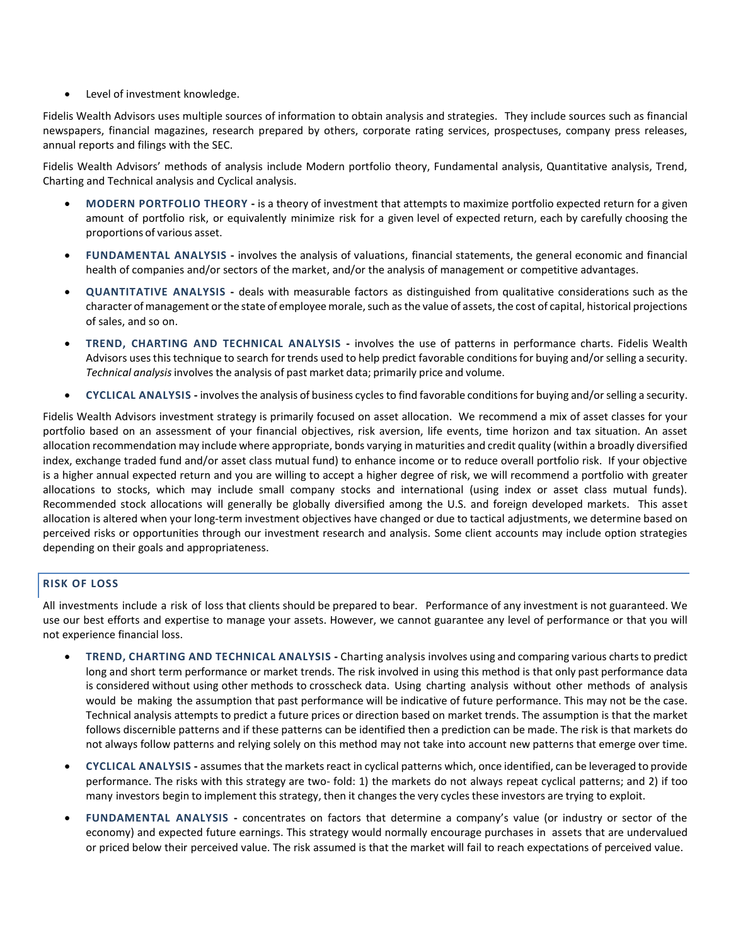• Level of investment knowledge.

Fidelis Wealth Advisors uses multiple sources of information to obtain analysis and strategies. They include sources such as financial newspapers, financial magazines, research prepared by others, corporate rating services, prospectuses, company press releases, annual reports and filings with the SEC.

Fidelis Wealth Advisors' methods of analysis include Modern portfolio theory, Fundamental analysis, Quantitative analysis, Trend, Charting and Technical analysis and Cyclical analysis.

- **MODERN PORTFOLIO THEORY -** is a theory of investment that attempts to maximize portfolio expected return for a given amount of portfolio risk, or equivalently minimize risk for a given level of expected return, each by carefully choosing the proportions of various asset.
- **FUNDAMENTAL ANALYSIS -** involves the analysis of valuations, financial statements, the general economic and financial health of companies and/or sectors of the market, and/or the analysis of management or competitive advantages.
- **QUANTITATIVE ANALYSIS -** deals with measurable factors as distinguished from qualitative considerations such as the character of management or the state of employee morale, such as the value of assets, the cost of capital, historical projections of sales, and so on.
- **TREND, CHARTING AND TECHNICAL ANALYSIS -** involves the use of patterns in performance charts. Fidelis Wealth Advisors usesthis technique to search for trends used to help predict favorable conditionsfor buying and/orselling a security. *Technical analysis*involves the analysis of past market data; primarily price and volume.
- **CYCLICAL ANALYSIS -** involves the analysis of business cycles to find favorable conditionsfor buying and/orselling a security.

Fidelis Wealth Advisors investment strategy is primarily focused on asset allocation. We recommend a mix of asset classes for your portfolio based on an assessment of your financial objectives, risk aversion, life events, time horizon and tax situation. An asset allocation recommendation may include where appropriate, bonds varying in maturities and credit quality (within a broadly diversified index, exchange traded fund and/or asset class mutual fund) to enhance income or to reduce overall portfolio risk. If your objective is a higher annual expected return and you are willing to accept a higher degree of risk, we will recommend a portfolio with greater allocations to stocks, which may include small company stocks and international (using index or asset class mutual funds). Recommended stock allocations will generally be globally diversified among the U.S. and foreign developed markets. This asset allocation is altered when your long‐term investment objectives have changed or due to tactical adjustments, we determine based on perceived risks or opportunities through our investment research and analysis. Some client accounts may include option strategies depending on their goals and appropriateness.

# **RISK OF LOSS**

All investments include a risk of loss that clients should be prepared to bear. Performance of any investment is not guaranteed. We use our best efforts and expertise to manage your assets. However, we cannot guarantee any level of performance or that you will not experience financial loss.

- **TREND, CHARTING AND TECHNICAL ANALYSIS -** Charting analysis involves using and comparing various charts to predict long and short term performance or market trends. The risk involved in using this method is that only past performance data is considered without using other methods to crosscheck data. Using charting analysis without other methods of analysis would be making the assumption that past performance will be indicative of future performance. This may not be the case. Technical analysis attempts to predict a future prices or direction based on market trends. The assumption is that the market follows discernible patterns and if these patterns can be identified then a prediction can be made. The risk is that markets do not always follow patterns and relying solely on this method may not take into account new patterns that emerge over time.
- **CYCLICAL ANALYSIS -** assumes that the markets react in cyclical patterns which, once identified, can be leveraged to provide performance. The risks with this strategy are two- fold: 1) the markets do not always repeat cyclical patterns; and 2) if too many investors begin to implement this strategy, then it changes the very cycles these investors are trying to exploit.
- **FUNDAMENTAL ANALYSIS -** concentrates on factors that determine a company's value (or industry or sector of the economy) and expected future earnings. This strategy would normally encourage purchases in assets that are undervalued or priced below their perceived value. The risk assumed is that the market will fail to reach expectations of perceived value.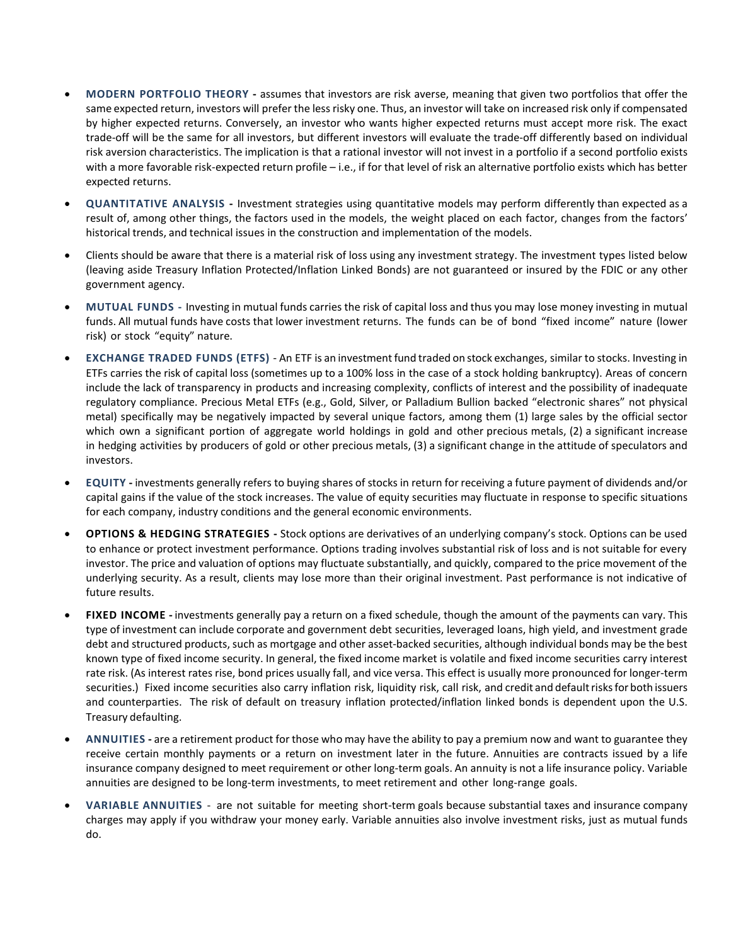- **MODERN PORTFOLIO THEORY -** assumes that investors are risk averse, meaning that given two portfolios that offer the same expected return, investors will prefer the lessrisky one. Thus, an investor will take on increased risk only if compensated by higher expected returns. Conversely, an investor who wants higher expected returns must accept more risk. The exact trade-off will be the same for all investors, but different investors will evaluate the trade-off differently based on individual risk aversion characteristics. The implication is that a rational investor will not invest in a portfolio if a second portfolio exists with a more favorable risk-expected return profile – i.e., if for that level of risk an alternative portfolio exists which has better expected returns.
- **QUANTITATIVE ANALYSIS -** Investment strategies using quantitative models may perform differently than expected as a result of, among other things, the factors used in the models, the weight placed on each factor, changes from the factors' historical trends, and technical issues in the construction and implementation of the models.
- Clients should be aware that there is a material risk of loss using any investment strategy. The investment types listed below (leaving aside Treasury Inflation Protected/Inflation Linked Bonds) are not guaranteed or insured by the FDIC or any other government agency.
- **MUTUAL FUNDS -** Investing in mutual funds carries the risk of capital loss and thus you may lose money investing in mutual funds. All mutual funds have costs that lower investment returns. The funds can be of bond "fixed income" nature (lower risk) or stock "equity" nature.
- **EXCHANGE TRADED FUNDS (ETFS)** *-* An ETF is an investmentfund traded on stock exchanges, similar to stocks. Investing in ETFs carries the risk of capital loss (sometimes up to a 100% loss in the case of a stock holding bankruptcy). Areas of concern include the lack of transparency in products and increasing complexity, conflicts of interest and the possibility of inadequate regulatory compliance. Precious Metal ETFs (e.g., Gold, Silver, or Palladium Bullion backed "electronic shares" not physical metal) specifically may be negatively impacted by several unique factors, among them (1) large sales by the official sector which own a significant portion of aggregate world holdings in gold and other precious metals, (2) a significant increase in hedging activities by producers of gold or other precious metals, (3) a significant change in the attitude of speculators and investors.
- **EQUITY -** investments generally refers to buying shares of stocks in return for receiving a future payment of dividends and/or capital gains if the value of the stock increases. The value of equity securities may fluctuate in response to specific situations for each company, industry conditions and the general economic environments.
- **OPTIONS & HEDGING STRATEGIES -** Stock options are derivatives of an underlying company's stock. Options can be used to enhance or protect investment performance. Options trading involves substantial risk of loss and is not suitable for every investor. The price and valuation of options may fluctuate substantially, and quickly, compared to the price movement of the underlying security. As a result, clients may lose more than their original investment. Past performance is not indicative of future results.
- **FIXED INCOME -** investments generally pay a return on a fixed schedule, though the amount of the payments can vary. This type of investment can include corporate and government debt securities, leveraged loans, high yield, and investment grade debt and structured products, such as mortgage and other asset-backed securities, although individual bonds may be the best known type of fixed income security. In general, the fixed income market is volatile and fixed income securities carry interest rate risk. (As interest rates rise, bond prices usually fall, and vice versa. This effect is usually more pronounced for longer-term securities.) Fixed income securities also carry inflation risk, liquidity risk, call risk, and credit and default risks for both issuers and counterparties. The risk of default on treasury inflation protected/inflation linked bonds is dependent upon the U.S. Treasury defaulting.
- **ANNUITIES -** are a retirement product for those who may have the ability to pay a premium now and want to guarantee they receive certain monthly payments or a return on investment later in the future. Annuities are contracts issued by a life insurance company designed to meet requirement or other long-term goals. An annuity is not a life insurance policy. Variable annuities are designed to be long-term investments, to meet retirement and other long-range goals.
- **VARIABLE ANNUITIES** are not suitable for meeting short-term goals because substantial taxes and insurance company charges may apply if you withdraw your money early. Variable annuities also involve investment risks, just as mutual funds do.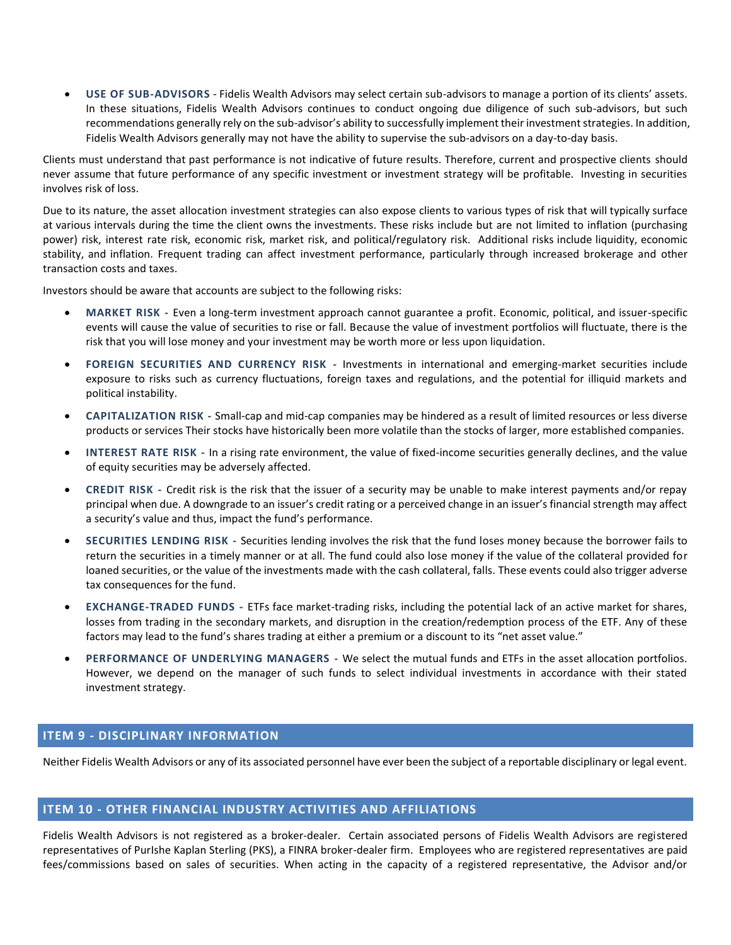• **USE OF SUB-ADVISORS** *-* Fidelis Wealth Advisors may select certain sub-advisors to manage a portion of its clients' assets. In these situations, Fidelis Wealth Advisors continues to conduct ongoing due diligence of such sub-advisors, but such recommendations generally rely on the sub-advisor's ability to successfully implement their investment strategies. In addition, Fidelis Wealth Advisors generally may not have the ability to supervise the sub-advisors on a day-to-day basis.

Clients must understand that past performance is not indicative of future results. Therefore, current and prospective clients should never assume that future performance of any specific investment or investment strategy will be profitable. Investing in securities involves risk of loss.

Due to its nature, the asset allocation investment strategies can also expose clients to various types of risk that will typically surface at various intervals during the time the client owns the investments. These risks include but are not limited to inflation (purchasing power) risk, interest rate risk, economic risk, market risk, and political/regulatory risk. Additional risks include liquidity, economic stability, and inflation. Frequent trading can affect investment performance, particularly through increased brokerage and other transaction costs and taxes.

Investors should be aware that accounts are subject to the following risks:

- **MARKET RISK -** Even a long-term investment approach cannot guarantee a profit. Economic, political, and issuer-specific events will cause the value of securities to rise or fall. Because the value of investment portfolios will fluctuate, there is the risk that you will lose money and your investment may be worth more or less upon liquidation.
- **FOREIGN SECURITIES AND CURRENCY RISK -** Investments in international and emerging-market securities include exposure to risks such as currency fluctuations, foreign taxes and regulations, and the potential for illiquid markets and political instability.
- **CAPITALIZATION RISK -** Small-cap and mid-cap companies may be hindered as a result of limited resources or less diverse products or services Their stocks have historically been more volatile than the stocks of larger, more established companies.
- **INTEREST RATE RISK -** In a rising rate environment, the value of fixed-income securities generally declines, and the value of equity securities may be adversely affected.
- **CREDIT RISK -** Credit risk is the risk that the issuer of a security may be unable to make interest payments and/or repay principal when due. A downgrade to an issuer's credit rating or a perceived change in an issuer's financial strength may affect a security's value and thus, impact the fund's performance.
- **SECURITIES LENDING RISK -** Securities lending involves the risk that the fund loses money because the borrower fails to return the securities in a timely manner or at all. The fund could also lose money if the value of the collateral provided for loaned securities, or the value of the investments made with the cash collateral, falls. These events could also trigger adverse tax consequences for the fund.
- **EXCHANGE-TRADED FUNDS -** ETFs face market-trading risks, including the potential lack of an active market for shares, losses from trading in the secondary markets, and disruption in the creation/redemption process of the ETF. Any of these factors may lead to the fund's shares trading at either a premium or a discount to its "net asset value."
- **PERFORMANCE OF UNDERLYING MANAGERS -** We select the mutual funds and ETFs in the asset allocation portfolios. However, we depend on the manager of such funds to select individual investments in accordance with their stated investment strategy.

# <span id="page-14-0"></span>**ITEM 9 - DISCIPLINARY INFORMATION**

Neither Fidelis Wealth Advisors or any of its associated personnel have ever been the subject of a reportable disciplinary or legal event.

# <span id="page-14-1"></span>**ITEM 10 - OTHER FINANCIAL INDUSTRY ACTIVITIES AND AFFILIATIONS**

Fidelis Wealth Advisors is not registered as a broker-dealer. Certain associated persons of Fidelis Wealth Advisors are registered representatives of PurIshe Kaplan Sterling (PKS), a FINRA broker-dealer firm. Employees who are registered representatives are paid fees/commissions based on sales of securities. When acting in the capacity of a registered representative, the Advisor and/or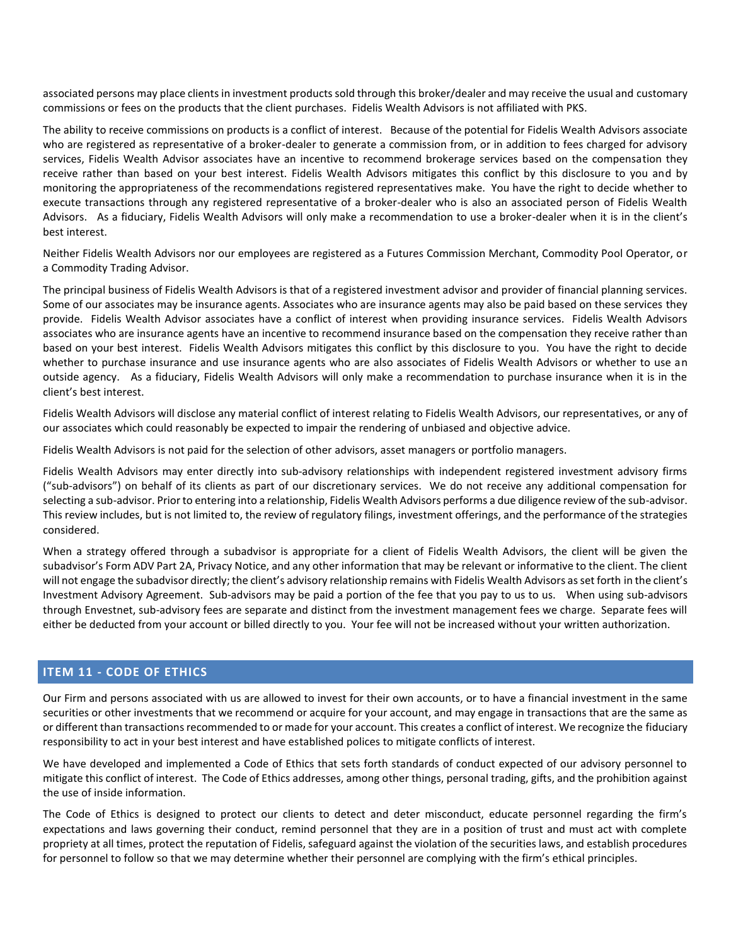associated persons may place clients in investment products sold through this broker/dealer and may receive the usual and customary commissions or fees on the products that the client purchases. Fidelis Wealth Advisors is not affiliated with PKS.

The ability to receive commissions on products is a conflict of interest. Because of the potential for Fidelis Wealth Advisors associate who are registered as representative of a broker-dealer to generate a commission from, or in addition to fees charged for advisory services, Fidelis Wealth Advisor associates have an incentive to recommend brokerage services based on the compensation they receive rather than based on your best interest. Fidelis Wealth Advisors mitigates this conflict by this disclosure to you and by monitoring the appropriateness of the recommendations registered representatives make. You have the right to decide whether to execute transactions through any registered representative of a broker-dealer who is also an associated person of Fidelis Wealth Advisors. As a fiduciary, Fidelis Wealth Advisors will only make a recommendation to use a broker-dealer when it is in the client's best interest.

Neither Fidelis Wealth Advisors nor our employees are registered as a Futures Commission Merchant, Commodity Pool Operator, or a Commodity Trading Advisor.

The principal business of Fidelis Wealth Advisors is that of a registered investment advisor and provider of financial planning services. Some of our associates may be insurance agents. Associates who are insurance agents may also be paid based on these services they provide. Fidelis Wealth Advisor associates have a conflict of interest when providing insurance services. Fidelis Wealth Advisors associates who are insurance agents have an incentive to recommend insurance based on the compensation they receive rather than based on your best interest. Fidelis Wealth Advisors mitigates this conflict by this disclosure to you. You have the right to decide whether to purchase insurance and use insurance agents who are also associates of Fidelis Wealth Advisors or whether to use an outside agency. As a fiduciary, Fidelis Wealth Advisors will only make a recommendation to purchase insurance when it is in the client's best interest.

Fidelis Wealth Advisors will disclose any material conflict of interest relating to Fidelis Wealth Advisors, our representatives, or any of our associates which could reasonably be expected to impair the rendering of unbiased and objective advice.

Fidelis Wealth Advisors is not paid for the selection of other advisors, asset managers or portfolio managers.

Fidelis Wealth Advisors may enter directly into sub‐advisory relationships with independent registered investment advisory firms ("sub-advisors") on behalf of its clients as part of our discretionary services. We do not receive any additional compensation for selecting a sub-advisor. Prior to entering into a relationship, Fidelis Wealth Advisors performs a due diligence review of the sub-advisor. This review includes, but is not limited to, the review of regulatory filings, investment offerings, and the performance of the strategies considered.

When a strategy offered through a subadvisor is appropriate for a client of Fidelis Wealth Advisors, the client will be given the subadvisor's Form ADV Part 2A, Privacy Notice, and any other information that may be relevant or informative to the client. The client will not engage the subadvisor directly; the client's advisory relationship remains with Fidelis Wealth Advisors as set forth in the client's Investment Advisory Agreement. Sub‐advisors may be paid a portion of the fee that you pay to us to us. When using sub-advisors through Envestnet, sub-advisory fees are separate and distinct from the investment management fees we charge. Separate fees will either be deducted from your account or billed directly to you. Your fee will not be increased without your written authorization.

# <span id="page-15-0"></span>**ITEM 11 - CODE OF ETHICS**

Our Firm and persons associated with us are allowed to invest for their own accounts, or to have a financial investment in the same securities or other investments that we recommend or acquire for your account, and may engage in transactions that are the same as or different than transactions recommended to or made for your account. This creates a conflict of interest. We recognize the fiduciary responsibility to act in your best interest and have established polices to mitigate conflicts of interest.

We have developed and implemented a Code of Ethics that sets forth standards of conduct expected of our advisory personnel to mitigate this conflict of interest. The Code of Ethics addresses, among other things, personal trading, gifts, and the prohibition against the use of inside information.

The Code of Ethics is designed to protect our clients to detect and deter misconduct, educate personnel regarding the firm's expectations and laws governing their conduct, remind personnel that they are in a position of trust and must act with complete propriety at all times, protect the reputation of Fidelis, safeguard against the violation of the securities laws, and establish procedures for personnel to follow so that we may determine whether their personnel are complying with the firm's ethical principles.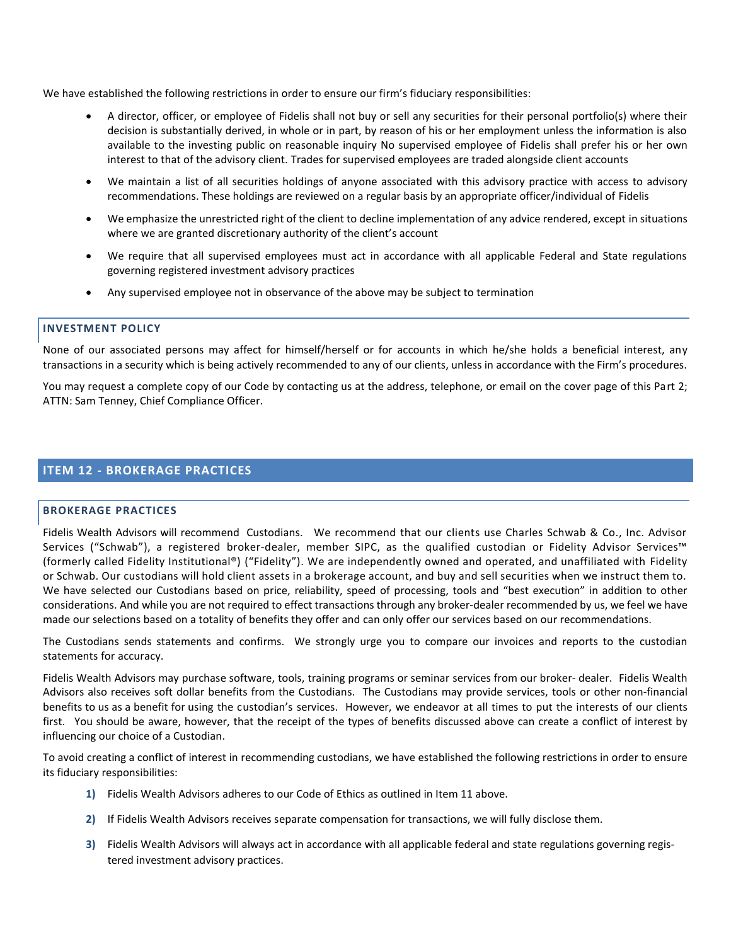We have established the following restrictions in order to ensure our firm's fiduciary responsibilities:

- A director, officer, or employee of Fidelis shall not buy or sell any securities for their personal portfolio(s) where their decision is substantially derived, in whole or in part, by reason of his or her employment unless the information is also available to the investing public on reasonable inquiry No supervised employee of Fidelis shall prefer his or her own interest to that of the advisory client. Trades for supervised employees are traded alongside client accounts
- We maintain a list of all securities holdings of anyone associated with this advisory practice with access to advisory recommendations. These holdings are reviewed on a regular basis by an appropriate officer/individual of Fidelis
- We emphasize the unrestricted right of the client to decline implementation of any advice rendered, except in situations where we are granted discretionary authority of the client's account
- We require that all supervised employees must act in accordance with all applicable Federal and State regulations governing registered investment advisory practices
- Any supervised employee not in observance of the above may be subject to termination

## **INVESTMENT POLICY**

None of our associated persons may affect for himself/herself or for accounts in which he/she holds a beneficial interest, any transactions in a security which is being actively recommended to any of our clients, unless in accordance with the Firm's procedures.

You may request a complete copy of our Code by contacting us at the address, telephone, or email on the cover page of this Part 2; ATTN: Sam Tenney, Chief Compliance Officer.

# <span id="page-16-0"></span>**ITEM 12 - BROKERAGE PRACTICES**

## **BROKERAGE PRACTICES**

Fidelis Wealth Advisors will recommend Custodians. We recommend that our clients use Charles Schwab & Co., Inc. Advisor Services ("Schwab"), a registered broker-dealer, member SIPC, as the qualified custodian or Fidelity Advisor Services™ (formerly called Fidelity Institutional®) ("Fidelity"). We are independently owned and operated, and unaffiliated with Fidelity or Schwab. Our custodians will hold client assets in a brokerage account, and buy and sell securities when we instruct them to. We have selected our Custodians based on price, reliability, speed of processing, tools and "best execution" in addition to other considerations. And while you are not required to effect transactions through any broker‐dealer recommended by us, we feel we have made our selections based on a totality of benefits they offer and can only offer our services based on our recommendations.

The Custodians sends statements and confirms. We strongly urge you to compare our invoices and reports to the custodian statements for accuracy.

Fidelis Wealth Advisors may purchase software, tools, training programs or seminar services from our broker‐ dealer. Fidelis Wealth Advisors also receives soft dollar benefits from the Custodians. The Custodians may provide services, tools or other non‐financial benefits to us as a benefit for using the custodian's services. However, we endeavor at all times to put the interests of our clients first. You should be aware, however, that the receipt of the types of benefits discussed above can create a conflict of interest by influencing our choice of a Custodian.

To avoid creating a conflict of interest in recommending custodians, we have established the following restrictions in order to ensure its fiduciary responsibilities:

- **1)** Fidelis Wealth Advisors adheres to our Code of Ethics as outlined in Item 11 above.
- **2)** If Fidelis Wealth Advisors receives separate compensation for transactions, we will fully disclose them.
- **3)** Fidelis Wealth Advisors will always act in accordance with all applicable federal and state regulations governing registered investment advisory practices.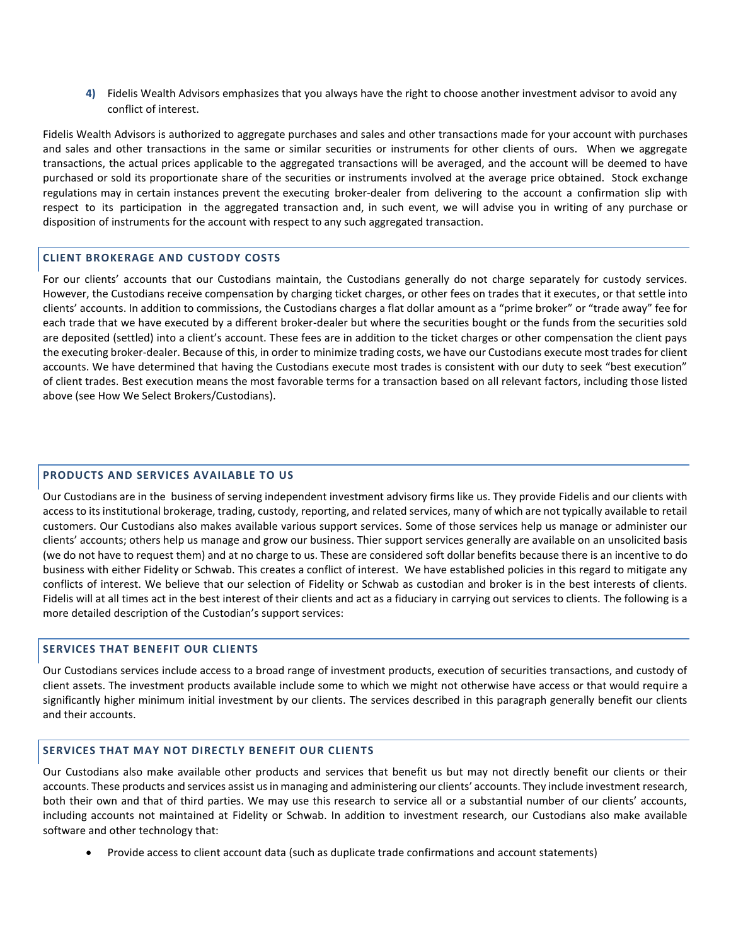**4)** Fidelis Wealth Advisors emphasizes that you always have the right to choose another investment advisor to avoid any conflict of interest.

Fidelis Wealth Advisors is authorized to aggregate purchases and sales and other transactions made for your account with purchases and sales and other transactions in the same or similar securities or instruments for other clients of ours. When we aggregate transactions, the actual prices applicable to the aggregated transactions will be averaged, and the account will be deemed to have purchased or sold its proportionate share of the securities or instruments involved at the average price obtained. Stock exchange regulations may in certain instances prevent the executing broker‐dealer from delivering to the account a confirmation slip with respect to its participation in the aggregated transaction and, in such event, we will advise you in writing of any purchase or disposition of instruments for the account with respect to any such aggregated transaction.

## **CLIENT BROKERAGE AND CUSTODY COSTS**

For our clients' accounts that our Custodians maintain, the Custodians generally do not charge separately for custody services. However, the Custodians receive compensation by charging ticket charges, or other fees on trades that it executes, or that settle into clients' accounts. In addition to commissions, the Custodians charges a flat dollar amount as a "prime broker" or "trade away" fee for each trade that we have executed by a different broker-dealer but where the securities bought or the funds from the securities sold are deposited (settled) into a client's account. These fees are in addition to the ticket charges or other compensation the client pays the executing broker-dealer. Because of this, in order to minimize trading costs, we have our Custodians execute most trades for client accounts. We have determined that having the Custodians execute most trades is consistent with our duty to seek "best execution" of client trades. Best execution means the most favorable terms for a transaction based on all relevant factors, including those listed above (see How We Select Brokers/Custodians).

# **PRODUCTS AND SERVICES AVAILABLE TO US**

Our Custodians are in the business of serving independent investment advisory firms like us. They provide Fidelis and our clients with access to its institutional brokerage, trading, custody, reporting, and related services, many of which are not typically available to retail customers. Our Custodians also makes available various support services. Some of those services help us manage or administer our clients' accounts; others help us manage and grow our business. Thier support services generally are available on an unsolicited basis (we do not have to request them) and at no charge to us. These are considered soft dollar benefits because there is an incentive to do business with either Fidelity or Schwab. This creates a conflict of interest. We have established policies in this regard to mitigate any conflicts of interest. We believe that our selection of Fidelity or Schwab as custodian and broker is in the best interests of clients. Fidelis will at all times act in the best interest of their clients and act as a fiduciary in carrying out services to clients. The following is a more detailed description of the Custodian's support services:

# **SERVICES THAT BENEFIT OUR CLIENTS**

Our Custodians services include access to a broad range of investment products, execution of securities transactions, and custody of client assets. The investment products available include some to which we might not otherwise have access or that would require a significantly higher minimum initial investment by our clients. The services described in this paragraph generally benefit our clients and their accounts.

## **SERVICES THAT MAY NOT DIRECTLY BENEFIT OUR CLIENTS**

Our Custodians also make available other products and services that benefit us but may not directly benefit our clients or their accounts. These products and services assist us in managing and administering our clients' accounts. They include investment research, both their own and that of third parties. We may use this research to service all or a substantial number of our clients' accounts, including accounts not maintained at Fidelity or Schwab. In addition to investment research, our Custodians also make available software and other technology that:

• Provide access to client account data (such as duplicate trade confirmations and account statements)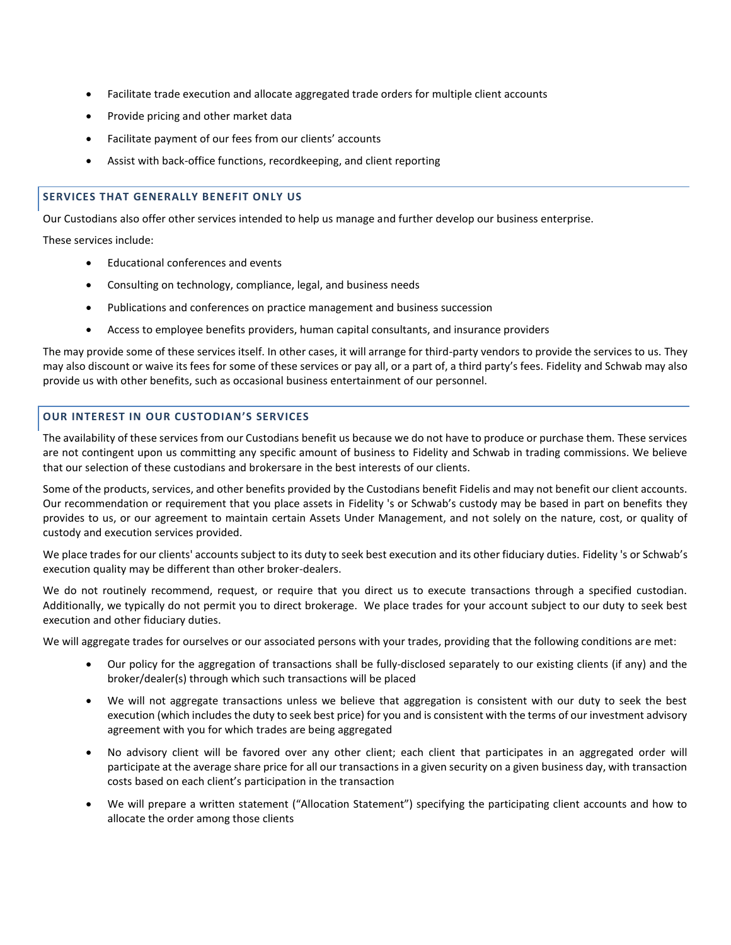- Facilitate trade execution and allocate aggregated trade orders for multiple client accounts
- Provide pricing and other market data
- Facilitate payment of our fees from our clients' accounts
- Assist with back-office functions, recordkeeping, and client reporting

## **SERVICES THAT GENERALLY BENEFIT ONLY US**

Our Custodians also offer other services intended to help us manage and further develop our business enterprise.

These services include:

- Educational conferences and events
- Consulting on technology, compliance, legal, and business needs
- Publications and conferences on practice management and business succession
- Access to employee benefits providers, human capital consultants, and insurance providers

The may provide some of these services itself. In other cases, it will arrange for third-party vendors to provide the services to us. They may also discount or waive its fees for some of these services or pay all, or a part of, a third party's fees. Fidelity and Schwab may also provide us with other benefits, such as occasional business entertainment of our personnel.

# **OUR INTEREST IN OUR CUSTODIAN'S SERVICES**

The availability of these services from our Custodians benefit us because we do not have to produce or purchase them. These services are not contingent upon us committing any specific amount of business to Fidelity and Schwab in trading commissions. We believe that our selection of these custodians and brokersare in the best interests of our clients.

Some of the products, services, and other benefits provided by the Custodians benefit Fidelis and may not benefit our client accounts. Our recommendation or requirement that you place assets in Fidelity 's or Schwab's custody may be based in part on benefits they provides to us, or our agreement to maintain certain Assets Under Management, and not solely on the nature, cost, or quality of custody and execution services provided.

We place trades for our clients' accounts subject to its duty to seek best execution and its other fiduciary duties. Fidelity 's or Schwab's execution quality may be different than other broker-dealers.

We do not routinely recommend, request, or require that you direct us to execute transactions through a specified custodian. Additionally, we typically do not permit you to direct brokerage. We place trades for your account subject to our duty to seek best execution and other fiduciary duties.

We will aggregate trades for ourselves or our associated persons with your trades, providing that the following conditions are met:

- Our policy for the aggregation of transactions shall be fully-disclosed separately to our existing clients (if any) and the broker/dealer(s) through which such transactions will be placed
- We will not aggregate transactions unless we believe that aggregation is consistent with our duty to seek the best execution (which includes the duty to seek best price) for you and is consistent with the terms of our investment advisory agreement with you for which trades are being aggregated
- No advisory client will be favored over any other client; each client that participates in an aggregated order will participate at the average share price for all our transactions in a given security on a given business day, with transaction costs based on each client's participation in the transaction
- We will prepare a written statement ("Allocation Statement") specifying the participating client accounts and how to allocate the order among those clients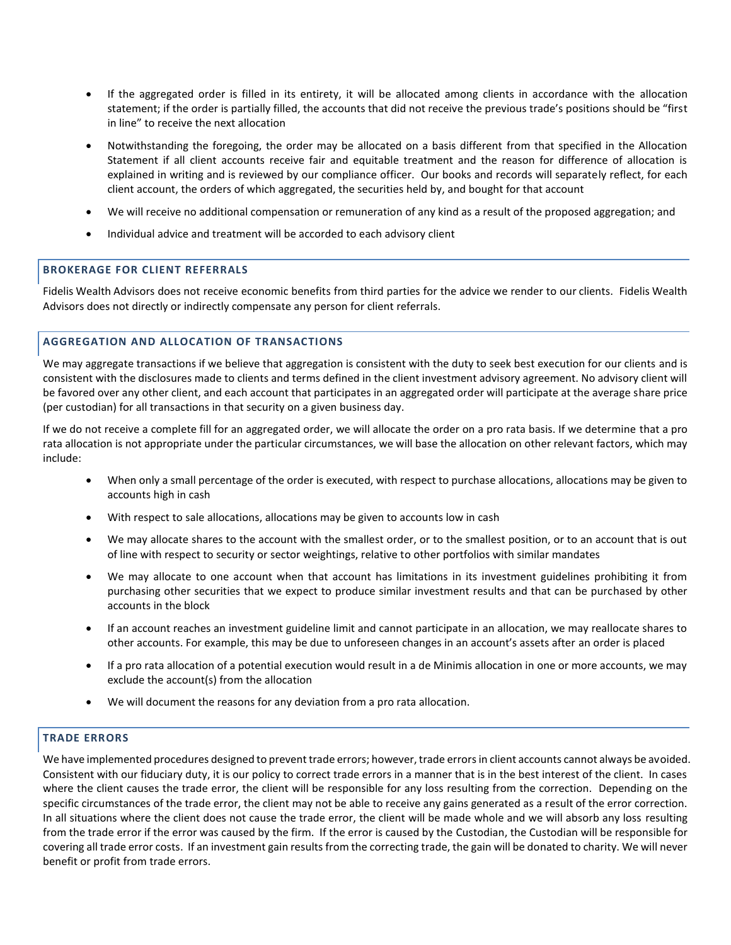- If the aggregated order is filled in its entirety, it will be allocated among clients in accordance with the allocation statement; if the order is partially filled, the accounts that did not receive the previous trade's positions should be "first in line" to receive the next allocation
- Notwithstanding the foregoing, the order may be allocated on a basis different from that specified in the Allocation Statement if all client accounts receive fair and equitable treatment and the reason for difference of allocation is explained in writing and is reviewed by our compliance officer. Our books and records will separately reflect, for each client account, the orders of which aggregated, the securities held by, and bought for that account
- We will receive no additional compensation or remuneration of any kind as a result of the proposed aggregation; and
- Individual advice and treatment will be accorded to each advisory client

# **BROKERAGE FOR CLIENT REFERRALS**

Fidelis Wealth Advisors does not receive economic benefits from third parties for the advice we render to our clients. Fidelis Wealth Advisors does not directly or indirectly compensate any person for client referrals.

# **AGGREGATION AND ALLOCATION OF TRANSACTIONS**

We may aggregate transactions if we believe that aggregation is consistent with the duty to seek best execution for our clients and is consistent with the disclosures made to clients and terms defined in the client investment advisory agreement. No advisory client will be favored over any other client, and each account that participates in an aggregated order will participate at the average share price (per custodian) for all transactions in that security on a given business day.

If we do not receive a complete fill for an aggregated order, we will allocate the order on a pro rata basis. If we determine that a pro rata allocation is not appropriate under the particular circumstances, we will base the allocation on other relevant factors, which may include:

- When only a small percentage of the order is executed, with respect to purchase allocations, allocations may be given to accounts high in cash
- With respect to sale allocations, allocations may be given to accounts low in cash
- We may allocate shares to the account with the smallest order, or to the smallest position, or to an account that is out of line with respect to security or sector weightings, relative to other portfolios with similar mandates
- We may allocate to one account when that account has limitations in its investment guidelines prohibiting it from purchasing other securities that we expect to produce similar investment results and that can be purchased by other accounts in the block
- If an account reaches an investment guideline limit and cannot participate in an allocation, we may reallocate shares to other accounts. For example, this may be due to unforeseen changes in an account's assets after an order is placed
- If a pro rata allocation of a potential execution would result in a de Minimis allocation in one or more accounts, we may exclude the account(s) from the allocation
- We will document the reasons for any deviation from a pro rata allocation.

# **TRADE ERRORS**

We have implemented procedures designed to prevent trade errors; however, trade errors in client accounts cannot always be avoided. Consistent with our fiduciary duty, it is our policy to correct trade errors in a manner that is in the best interest of the client. In cases where the client causes the trade error, the client will be responsible for any loss resulting from the correction. Depending on the specific circumstances of the trade error, the client may not be able to receive any gains generated as a result of the error correction. In all situations where the client does not cause the trade error, the client will be made whole and we will absorb any loss resulting from the trade error if the error was caused by the firm. If the error is caused by the Custodian, the Custodian will be responsible for covering all trade error costs. If an investment gain results from the correcting trade, the gain will be donated to charity. We will never benefit or profit from trade errors.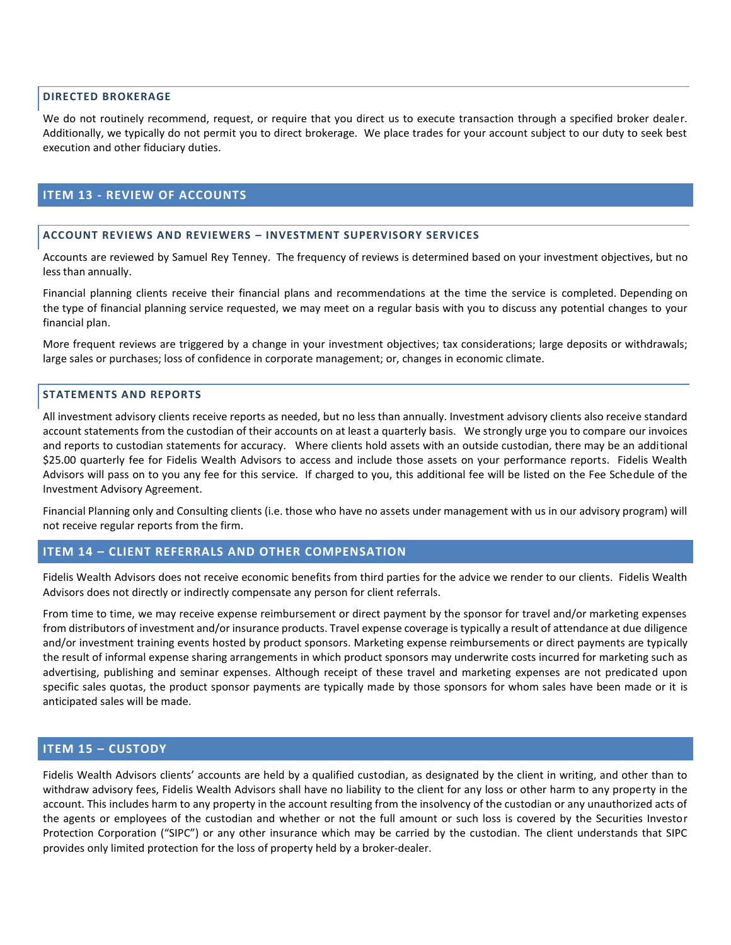## **DIRECTED BROKERAGE**

We do not routinely recommend, request, or require that you direct us to execute transaction through a specified broker dealer. Additionally, we typically do not permit you to direct brokerage. We place trades for your account subject to our duty to seek best execution and other fiduciary duties.

# <span id="page-20-0"></span>**ITEM 13 - REVIEW OF ACCOUNTS**

## **ACCOUNT REVIEWS AND REVIEWERS – INVESTMENT SUPERVISORY SERVICES**

Accounts are reviewed by Samuel Rey Tenney. The frequency of reviews is determined based on your investment objectives, but no less than annually.

Financial planning clients receive their financial plans and recommendations at the time the service is completed. Depending on the type of financial planning service requested, we may meet on a regular basis with you to discuss any potential changes to your financial plan.

More frequent reviews are triggered by a change in your investment objectives; tax considerations; large deposits or withdrawals; large sales or purchases; loss of confidence in corporate management; or, changes in economic climate.

## **STATEMENTS AND REPORTS**

All investment advisory clients receive reports as needed, but no less than annually. Investment advisory clients also receive standard account statements from the custodian of their accounts on at least a quarterly basis. We strongly urge you to compare our invoices and reports to custodian statements for accuracy. Where clients hold assets with an outside custodian, there may be an additional \$25.00 quarterly fee for Fidelis Wealth Advisors to access and include those assets on your performance reports. Fidelis Wealth Advisors will pass on to you any fee for this service. If charged to you, this additional fee will be listed on the Fee Schedule of the Investment Advisory Agreement.

Financial Planning only and Consulting clients (i.e. those who have no assets under management with us in our advisory program) will not receive regular reports from the firm.

# <span id="page-20-1"></span>**ITEM 14 – CLIENT REFERRALS AND OTHER COMPENSATION**

Fidelis Wealth Advisors does not receive economic benefits from third parties for the advice we render to our clients. Fidelis Wealth Advisors does not directly or indirectly compensate any person for client referrals.

From time to time, we may receive expense reimbursement or direct payment by the sponsor for travel and/or marketing expenses from distributors of investment and/or insurance products. Travel expense coverage is typically a result of attendance at due diligence and/or investment training events hosted by product sponsors. Marketing expense reimbursements or direct payments are typically the result of informal expense sharing arrangements in which product sponsors may underwrite costs incurred for marketing such as advertising, publishing and seminar expenses. Although receipt of these travel and marketing expenses are not predicated upon specific sales quotas, the product sponsor payments are typically made by those sponsors for whom sales have been made or it is anticipated sales will be made.

# <span id="page-20-2"></span>**ITEM 15 – CUSTODY**

Fidelis Wealth Advisors clients' accounts are held by a qualified custodian, as designated by the client in writing, and other than to withdraw advisory fees, Fidelis Wealth Advisors shall have no liability to the client for any loss or other harm to any property in the account. This includes harm to any property in the account resulting from the insolvency of the custodian or any unauthorized acts of the agents or employees of the custodian and whether or not the full amount or such loss is covered by the Securities Investor Protection Corporation ("SIPC") or any other insurance which may be carried by the custodian. The client understands that SIPC provides only limited protection for the loss of property held by a broker‐dealer.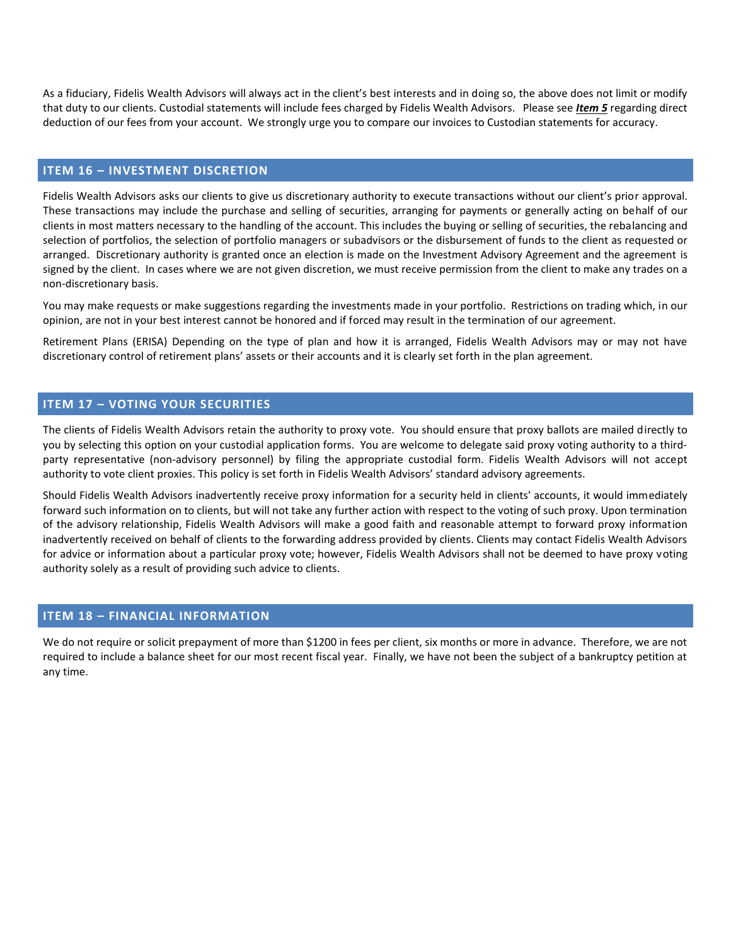As a fiduciary, Fidelis Wealth Advisors will always act in the client's best interests and in doing so, the above does not limit or modify that duty to our clients. Custodial statements will include fees charged by Fidelis Wealth Advisors. Please see *Item 5* regarding direct deduction of our fees from your account. We strongly urge you to compare our invoices to Custodian statements for accuracy.

# <span id="page-21-0"></span>**ITEM 16 – INVESTMENT DISCRETION**

Fidelis Wealth Advisors asks our clients to give us discretionary authority to execute transactions without our client's prior approval. These transactions may include the purchase and selling of securities, arranging for payments or generally acting on behalf of our clients in most matters necessary to the handling of the account. This includes the buying or selling of securities, the rebalancing and selection of portfolios, the selection of portfolio managers or subadvisors or the disbursement of funds to the client as requested or arranged. Discretionary authority is granted once an election is made on the Investment Advisory Agreement and the agreement is signed by the client. In cases where we are not given discretion, we must receive permission from the client to make any trades on a non-discretionary basis.

You may make requests or make suggestions regarding the investments made in your portfolio. Restrictions on trading which, in our opinion, are not in your best interest cannot be honored and if forced may result in the termination of our agreement.

Retirement Plans (ERISA) Depending on the type of plan and how it is arranged, Fidelis Wealth Advisors may or may not have discretionary control of retirement plans' assets or their accounts and it is clearly set forth in the plan agreement.

# <span id="page-21-1"></span>**ITEM 17 – VOTING YOUR SECURITIES**

The clients of Fidelis Wealth Advisors retain the authority to proxy vote. You should ensure that proxy ballots are mailed directly to you by selecting this option on your custodial application forms. You are welcome to delegate said proxy voting authority to a third‐ party representative (non‐advisory personnel) by filing the appropriate custodial form. Fidelis Wealth Advisors will not accept authority to vote client proxies. This policy is set forth in Fidelis Wealth Advisors' standard advisory agreements.

Should Fidelis Wealth Advisors inadvertently receive proxy information for a security held in clients' accounts, it would immediately forward such information on to clients, but will not take any further action with respect to the voting of such proxy. Upon termination of the advisory relationship, Fidelis Wealth Advisors will make a good faith and reasonable attempt to forward proxy information inadvertently received on behalf of clients to the forwarding address provided by clients. Clients may contact Fidelis Wealth Advisors for advice or information about a particular proxy vote; however, Fidelis Wealth Advisors shall not be deemed to have proxy voting authority solely as a result of providing such advice to clients.

# <span id="page-21-2"></span>**ITEM 18 – FINANCIAL INFORMATION**

We do not require or solicit prepayment of more than \$1200 in fees per client, six months or more in advance. Therefore, we are not required to include a balance sheet for our most recent fiscal year. Finally, we have not been the subject of a bankruptcy petition at any time.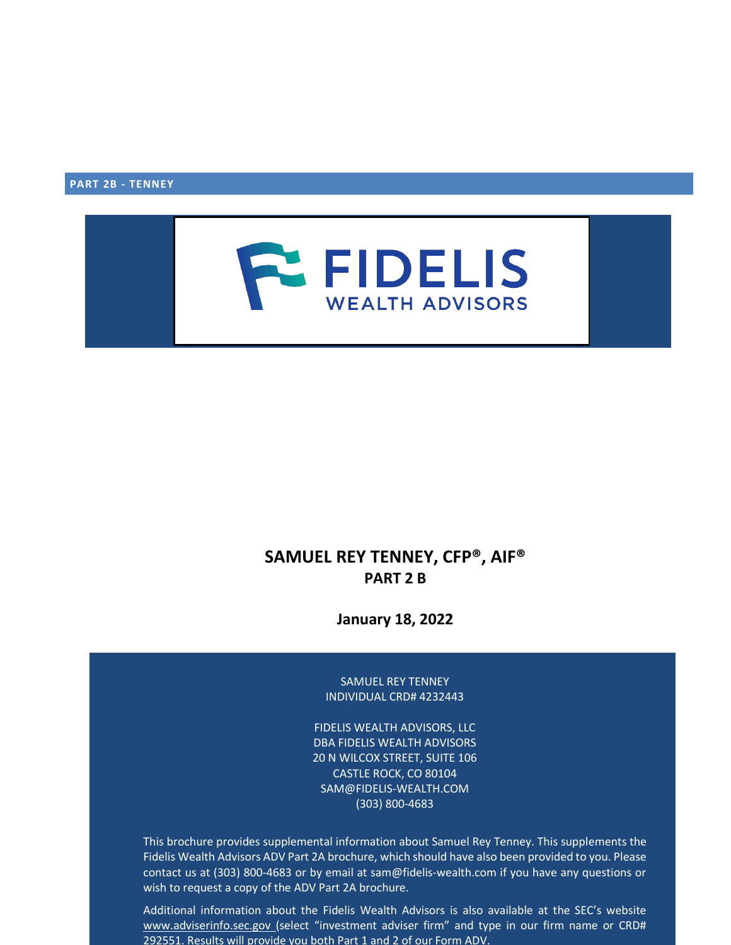**PART 2B - TENNEY**



# **SAMUEL REY TENNEY, CFP®, AIF® PART 2 B**

**January 18, 2022**

SAMUEL REY TENNEY INDIVIDUAL CRD# 4232443

FIDELIS WEALTH ADVISORS, LLC DBA FIDELIS WEALTH ADVISORS 20 N WILCOX STREET, SUITE 106 CASTLE ROCK, CO 80104 SAM@FIDELIS‐WEALTH.COM (303) 800‐4683

This brochure provides supplemental information about Samuel Rey Tenney. This supplements the Fidelis Wealth Advisors ADV Part 2A brochure, which should have also been provided to you. Please contact us at (303) 800‐4683 or by email at sam@fidelis‐wealth.com if you have any questions or wish to request a copy of the ADV Part 2A brochure.

Additional information about the Fidelis Wealth Advisors is also available at the SEC's website [www.adviserinfo.sec.gov](http://www.adviserinfo.sec.gov/) (select "investment adviser firm" and type in our firm name or CRD# 292551. Results will provide you both Part 1 and 2 of our Form ADV.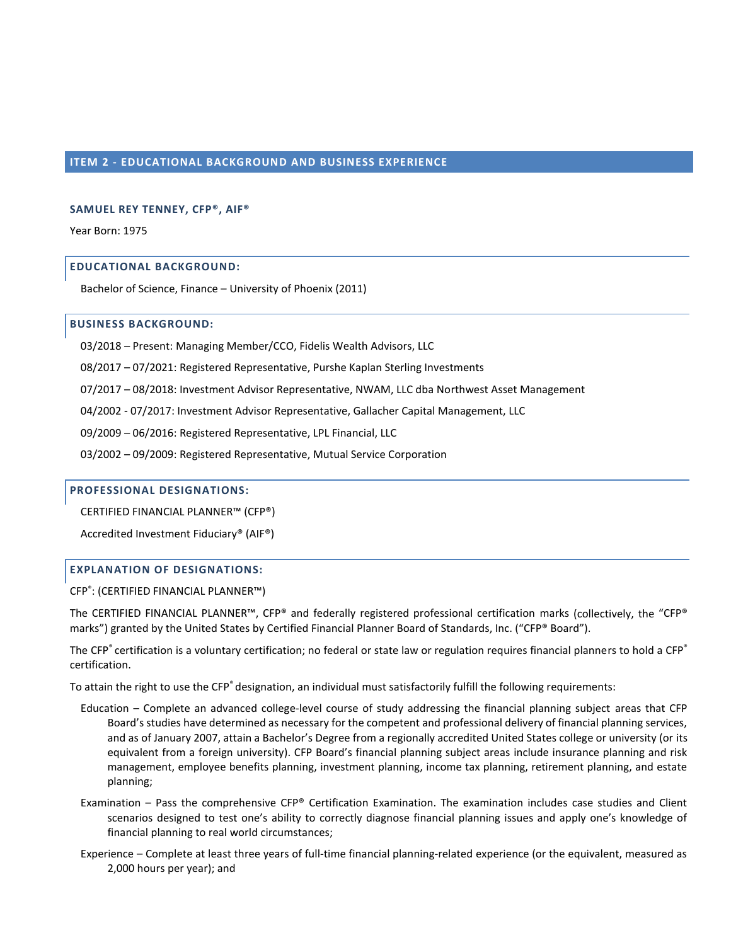## **ITEM 2 - EDUCATIONAL BACKGROUND AND BUSINESS EXPERIENCE**

## **SAMUEL REY TENNEY, CFP®, AIF®**

Year Born: 1975

## **EDUCATIONAL BACKGROUND:**

Bachelor of Science, Finance – University of Phoenix (2011)

#### **BUSINESS BACKGROUND:**

03/2018 – Present: Managing Member/CCO, Fidelis Wealth Advisors, LLC

08/2017 – 07/2021: Registered Representative, Purshe Kaplan Sterling Investments

07/2017 – 08/2018: Investment Advisor Representative, NWAM, LLC dba Northwest Asset Management

04/2002 - 07/2017: Investment Advisor Representative, Gallacher Capital Management, LLC

09/2009 – 06/2016: Registered Representative, LPL Financial, LLC

03/2002 – 09/2009: Registered Representative, Mutual Service Corporation

#### **PROFESSIONAL DESIGNATIONS:**

CERTIFIED FINANCIAL PLANNER™ (CFP®)

Accredited Investment Fiduciary® (AIF®)

## **EXPLANATION OF DESIGNATIONS:**

CFP® : (CERTIFIED FINANCIAL PLANNER™)

The CERTIFIED FINANCIAL PLANNER™, CFP® and federally registered professional certification marks (collectively, the "CFP® marks") granted by the United States by Certified Financial Planner Board of Standards, Inc. ("CFP® Board").

The CFP® certification is a voluntary certification; no federal or state law or regulation requires financial planners to hold a CFP® certification.

To attain the right to use the CFP<sup>®</sup> designation, an individual must satisfactorily fulfill the following requirements:

- Education Complete an advanced college‐level course of study addressing the financial planning subject areas that CFP Board's studies have determined as necessary for the competent and professional delivery of financial planning services, and as of January 2007, attain a Bachelor's Degree from a regionally accredited United States college or university (or its equivalent from a foreign university). CFP Board's financial planning subject areas include insurance planning and risk management, employee benefits planning, investment planning, income tax planning, retirement planning, and estate planning;
- Examination Pass the comprehensive CFP® Certification Examination. The examination includes case studies and Client scenarios designed to test one's ability to correctly diagnose financial planning issues and apply one's knowledge of financial planning to real world circumstances;
- Experience Complete at least three years of full-time financial planning-related experience (or the equivalent, measured as 2,000 hours per year); and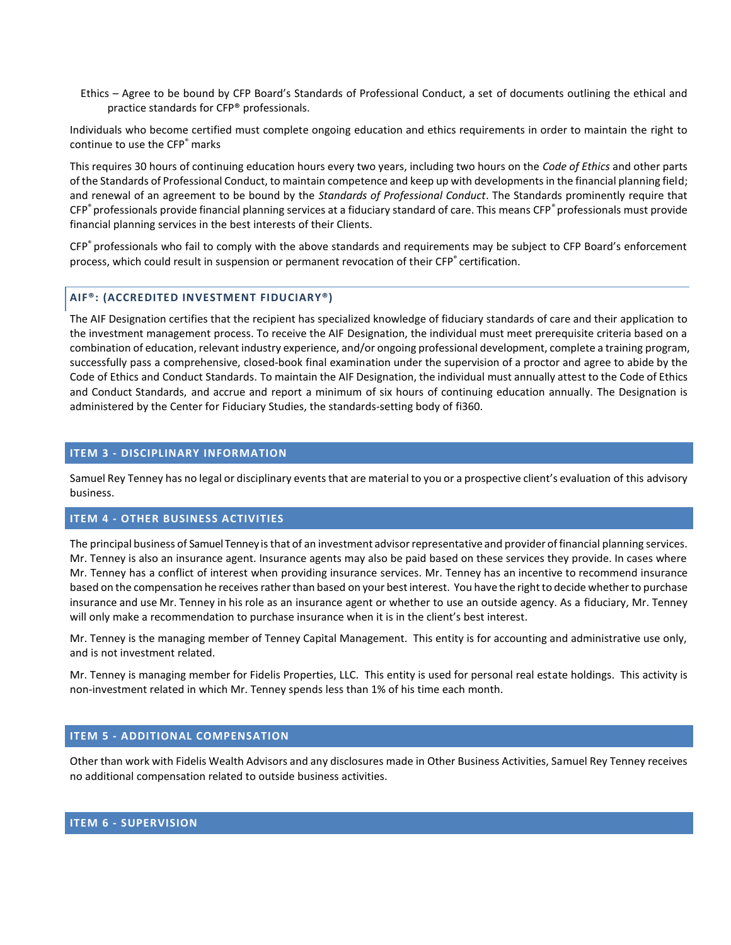Ethics – Agree to be bound by CFP Board's Standards of Professional Conduct, a set of documents outlining the ethical and practice standards for CFP® professionals.

Individuals who become certified must complete ongoing education and ethics requirements in order to maintain the right to continue to use the CFP® marks

This requires 30 hours of continuing education hours every two years, including two hours on the *Code of Ethics* and other parts of the Standards of Professional Conduct, to maintain competence and keep up with developments in the financial planning field; and renewal of an agreement to be bound by the *Standards of Professional Conduct*. The Standards prominently require that CFP® professionals provide financial planning services at a fiduciary standard of care. This means CFP® professionals must provide financial planning services in the best interests of their Clients.

CFP® professionals who fail to comply with the above standards and requirements may be subject to CFP Board's enforcement process, which could result in suspension or permanent revocation of their CFP® certification.

## **AIF®: (ACCREDITED INVESTMENT FIDUCIARY®)**

The AIF Designation certifies that the recipient has specialized knowledge of fiduciary standards of care and their application to the investment management process. To receive the AIF Designation, the individual must meet prerequisite criteria based on a combination of education, relevant industry experience, and/or ongoing professional development, complete a training program, successfully pass a comprehensive, closed‐book final examination under the supervision of a proctor and agree to abide by the Code of Ethics and Conduct Standards. To maintain the AIF Designation, the individual must annually attest to the Code of Ethics and Conduct Standards, and accrue and report a minimum of six hours of continuing education annually. The Designation is administered by the Center for Fiduciary Studies, the standards‐setting body of fi360.

## **ITEM 3 - DISCIPLINARY INFORMATION**

Samuel Rey Tenney has no legal or disciplinary events that are material to you or a prospective client's evaluation of this advisory business.

## **ITEM 4 - OTHER BUSINESS ACTIVITIES**

The principal business of Samuel Tenney is that of an investment advisor representative and provider of financial planning services. Mr. Tenney is also an insurance agent. Insurance agents may also be paid based on these services they provide. In cases where Mr. Tenney has a conflict of interest when providing insurance services. Mr. Tenney has an incentive to recommend insurance based on the compensation he receives rather than based on your best interest. You have the right to decide whether to purchase insurance and use Mr. Tenney in his role as an insurance agent or whether to use an outside agency. As a fiduciary, Mr. Tenney will only make a recommendation to purchase insurance when it is in the client's best interest.

Mr. Tenney is the managing member of Tenney Capital Management. This entity is for accounting and administrative use only, and is not investment related.

Mr. Tenney is managing member for Fidelis Properties, LLC. This entity is used for personal real estate holdings. This activity is non-investment related in which Mr. Tenney spends less than 1% of his time each month.

## **ITEM 5 - ADDITIONAL COMPENSATION**

Other than work with Fidelis Wealth Advisors and any disclosures made in Other Business Activities, Samuel Rey Tenney receives no additional compensation related to outside business activities.

# **ITEM 6 - SUPERVISION**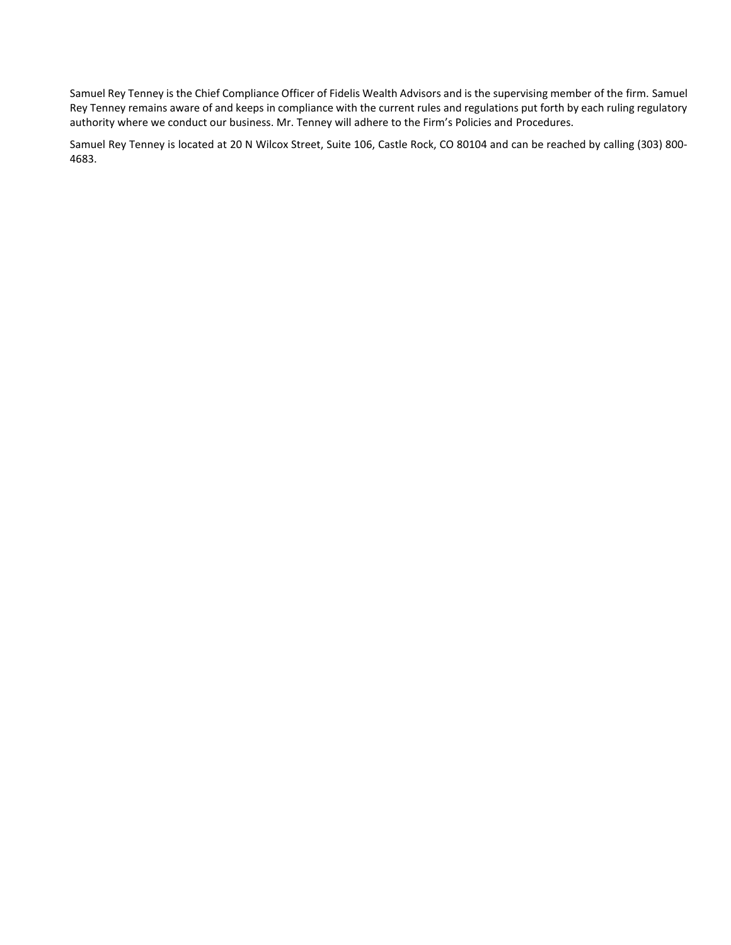Samuel Rey Tenney is the Chief Compliance Officer of Fidelis Wealth Advisors and is the supervising member of the firm. Samuel Rey Tenney remains aware of and keeps in compliance with the current rules and regulations put forth by each ruling regulatory authority where we conduct our business. Mr. Tenney will adhere to the Firm's Policies and Procedures.

Samuel Rey Tenney is located at 20 N Wilcox Street, Suite 106, Castle Rock, CO 80104 and can be reached by calling (303) 800‐ 4683.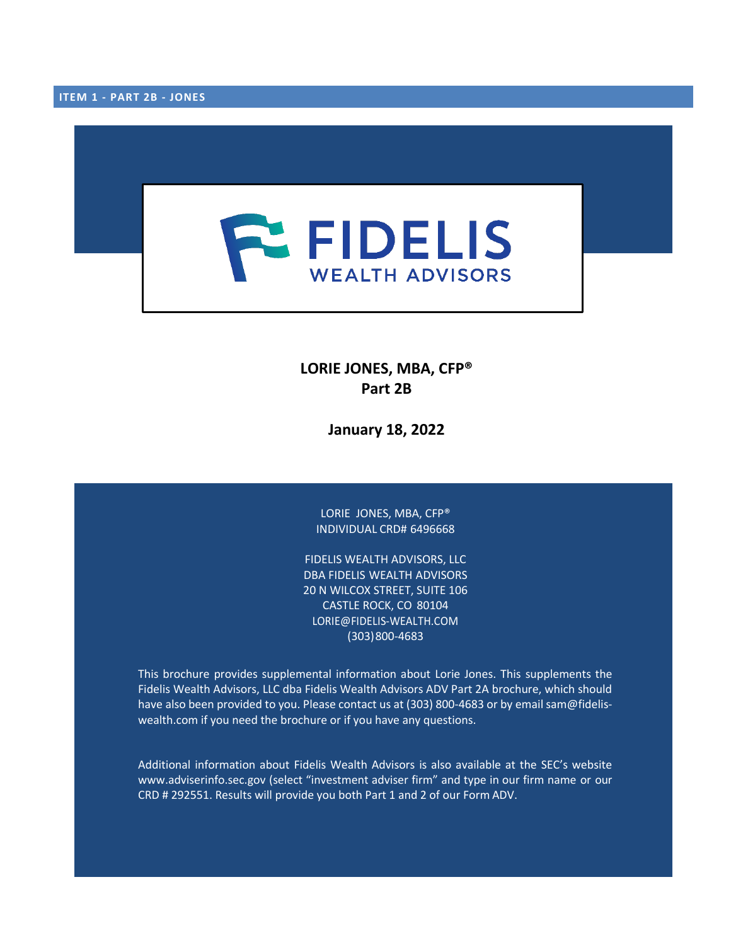

**LORIE JONES, MBA, CFP® Part 2B**

**January 18, 2022**

LORIE JONES, MBA, CFP® INDIVIDUAL CRD# 6496668

FIDELIS WEALTH ADVISORS, LLC DBA FIDELIS WEALTH ADVISORS 20 N WILCOX STREET, SUITE 106 CASTLE ROCK, CO 80104 LORIE@FIDELIS‐WEALTH.COM (303)800‐4683

This brochure provides supplemental information about Lorie Jones. This supplements the Fidelis Wealth Advisors, LLC dba Fidelis Wealth Advisors ADV Part 2A brochure, which should have also been provided to you. Please contact us at (303) 800-4683 or by email sam@fideliswealth.com if you need the brochure or if you have any questions.

Additional information about Fidelis Wealth Advisors is also available at the SEC's website [www.adviserinfo.sec.gov](http://www.adviserinfo.sec.gov/) (select "investment adviser firm" and type in our firm name or our CRD # 292551. Results will provide you both Part 1 and 2 of our Form ADV.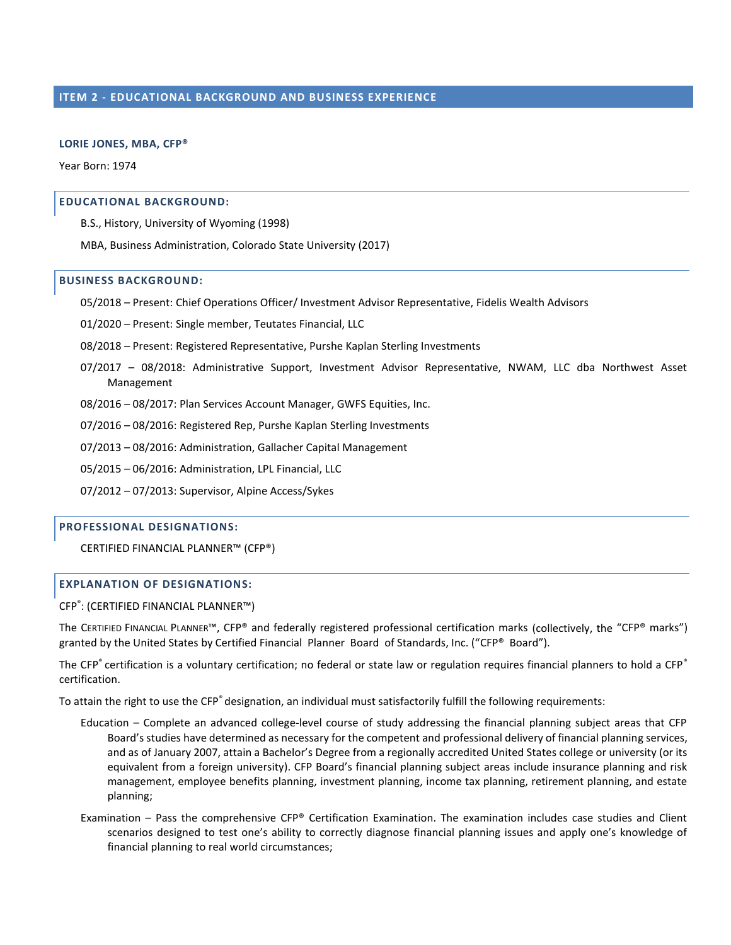#### **LORIE JONES, MBA, CFP®**

Year Born: 1974

#### **EDUCATIONAL BACKGROUND:**

B.S., History, University of Wyoming (1998)

MBA, Business Administration, Colorado State University (2017)

#### **BUSINESS BACKGROUND:**

05/2018 – Present: Chief Operations Officer/ Investment Advisor Representative, Fidelis Wealth Advisors

01/2020 – Present: Single member, Teutates Financial, LLC

08/2018 – Present: Registered Representative, Purshe Kaplan Sterling Investments

07/2017 – 08/2018: Administrative Support, Investment Advisor Representative, NWAM, LLC dba Northwest Asset Management

08/2016 – 08/2017: Plan Services Account Manager, GWFS Equities, Inc.

07/2016 – 08/2016: Registered Rep, Purshe Kaplan Sterling Investments

07/2013 – 08/2016: Administration, Gallacher Capital Management

05/2015 – 06/2016: Administration, LPL Financial, LLC

07/2012 – 07/2013: Supervisor, Alpine Access/Sykes

## **PROFESSIONAL DESIGNATIONS:**

CERTIFIED FINANCIAL PLANNER™ (CFP®)

# **EXPLANATION OF DESIGNATIONS:**

CFP® : (CERTIFIED FINANCIAL PLANNER™)

The CERTIFIED FINANCIAL PLANNER™, CFP® and federally registered professional certification marks (collectively, the "CFP® marks") granted by the United States by Certified Financial Planner Board of Standards, Inc. ("CFP® Board").

The CFP<sup>®</sup> certification is a voluntary certification; no federal or state law or regulation requires financial planners to hold a CFP<sup>®</sup> certification.

To attain the right to use the CFP® designation, an individual must satisfactorily fulfill the following requirements:

- Education Complete an advanced college‐level course of study addressing the financial planning subject areas that CFP Board's studies have determined as necessary for the competent and professional delivery of financial planning services, and as of January 2007, attain a Bachelor's Degree from a regionally accredited United States college or university (or its equivalent from a foreign university). CFP Board's financial planning subject areas include insurance planning and risk management, employee benefits planning, investment planning, income tax planning, retirement planning, and estate planning;
- Examination Pass the comprehensive CFP® Certification Examination. The examination includes case studies and Client scenarios designed to test one's ability to correctly diagnose financial planning issues and apply one's knowledge of financial planning to real world circumstances;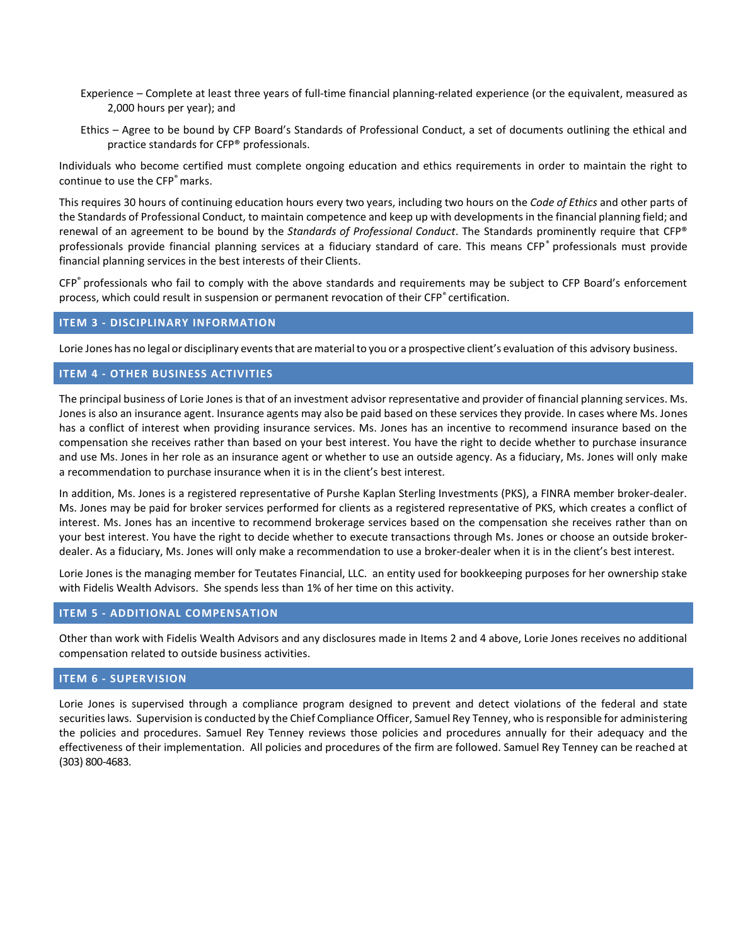- Experience Complete at least three years of full‐time financial planning‐related experience (or the equivalent, measured as 2,000 hours per year); and
- Ethics Agree to be bound by CFP Board's Standards of Professional Conduct, a set of documents outlining the ethical and practice standards for CFP® professionals.

Individuals who become certified must complete ongoing education and ethics requirements in order to maintain the right to continue to use the CFP® marks.

This requires 30 hours of continuing education hours every two years, including two hours on the *Code of Ethics* and other parts of the Standards of Professional Conduct, to maintain competence and keep up with developments in the financial planning field; and renewal of an agreement to be bound by the *Standards of Professional Conduct*. The Standards prominently require that CFP® professionals provide financial planning services at a fiduciary standard of care. This means CFP® professionals must provide financial planning services in the best interests of their Clients.

CFP® professionals who fail to comply with the above standards and requirements may be subject to CFP Board's enforcement process, which could result in suspension or permanent revocation of their CFP® certification.

## **ITEM 3 ‐ DISCIPLINARY INFORMATION**

Lorie Jones has no legal or disciplinary events that are material to you or a prospective client's evaluation of this advisory business.

## **ITEM 4 ‐ OTHER BUSINESS ACTIVITIES**

The principal business of Lorie Jones is that of an investment advisor representative and provider of financial planning services. Ms. Jones is also an insurance agent. Insurance agents may also be paid based on these services they provide. In cases where Ms. Jones has a conflict of interest when providing insurance services. Ms. Jones has an incentive to recommend insurance based on the compensation she receives rather than based on your best interest. You have the right to decide whether to purchase insurance and use Ms. Jones in her role as an insurance agent or whether to use an outside agency. As a fiduciary, Ms. Jones will only make a recommendation to purchase insurance when it is in the client's best interest.

In addition, Ms. Jones is a registered representative of Purshe Kaplan Sterling Investments (PKS), a FINRA member broker‐dealer. Ms. Jones may be paid for broker services performed for clients as a registered representative of PKS, which creates a conflict of interest. Ms. Jones has an incentive to recommend brokerage services based on the compensation she receives rather than on your best interest. You have the right to decide whether to execute transactions through Ms. Jones or choose an outside broker‐ dealer. As a fiduciary, Ms. Jones will only make a recommendation to use a broker-dealer when it is in the client's best interest.

Lorie Jones is the managing member for Teutates Financial, LLC. an entity used for bookkeeping purposes for her ownership stake with Fidelis Wealth Advisors. She spends less than 1% of her time on this activity.

## **ITEM 5 ‐ ADDITIONAL COMPENSATION**

Other than work with Fidelis Wealth Advisors and any disclosures made in Items 2 and 4 above, Lorie Jones receives no additional compensation related to outside business activities.

#### **ITEM 6 ‐ SUPERVISION**

Lorie Jones is supervised through a compliance program designed to prevent and detect violations of the federal and state securities laws. Supervision is conducted by the Chief Compliance Officer, Samuel Rey Tenney, who is responsible for administering the policies and procedures. Samuel Rey Tenney reviews those policies and procedures annually for their adequacy and the effectiveness of their implementation. All policies and procedures of the firm are followed. Samuel Rey Tenney can be reached at (303) 800‐4683.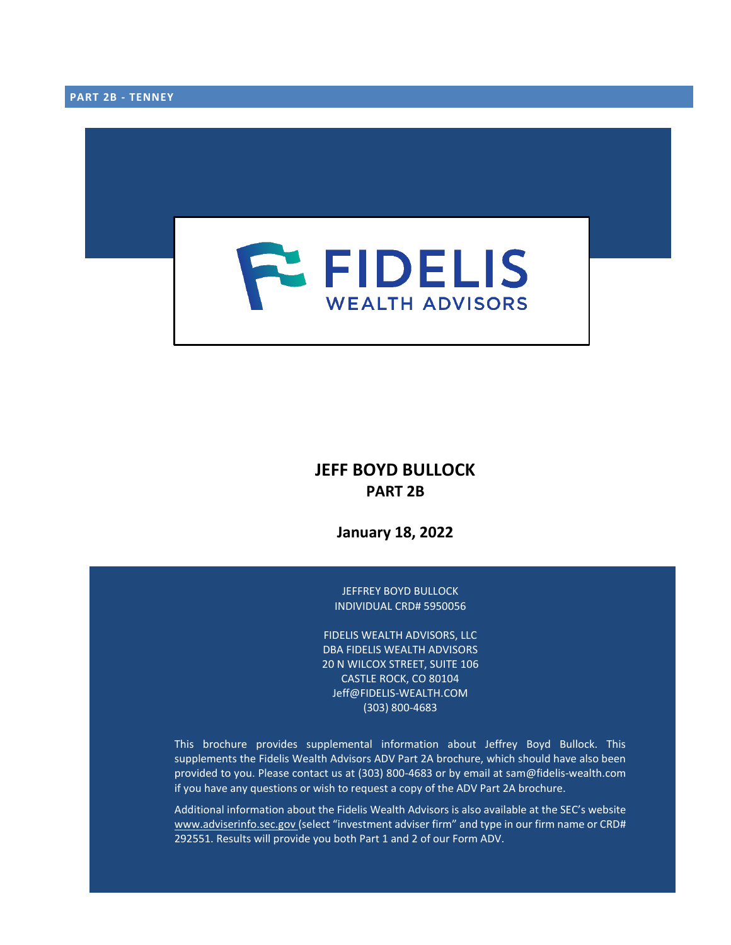

# **JEFF BOYD BULLOCK PART 2B**

**January 18, 2022**

JEFFREY BOYD BULLOCK INDIVIDUAL CRD# 5950056

FIDELIS WEALTH ADVISORS, LLC DBA FIDELIS WEALTH ADVISORS 20 N WILCOX STREET, SUITE 106 CASTLE ROCK, CO 80104 Jeff@FIDELIS‐WEALTH.COM (303) 800‐4683

This brochure provides supplemental information about Jeffrey Boyd Bullock. This supplements the Fidelis Wealth Advisors ADV Part 2A brochure, which should have also been provided to you. Please contact us at (303) 800‐4683 or by email at sam@fidelis‐wealth.com if you have any questions or wish to request a copy of the ADV Part 2A brochure.

Additional information about the Fidelis Wealth Advisors is also available at the SEC's website [www.adviserinfo.sec.gov](http://www.adviserinfo.sec.gov/) (select "investment adviser firm" and type in our firm name or CRD# 292551. Results will provide you both Part 1 and 2 of our Form ADV.